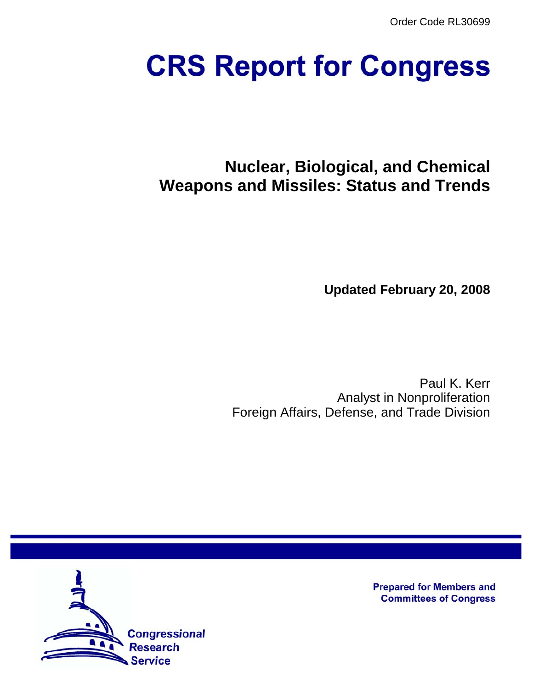Order Code RL30699

# **CRS Report for Congress**

# **Nuclear, Biological, and Chemical Weapons and Missiles: Status and Trends**

**Updated February 20, 2008**

Paul K. Kerr Analyst in Nonproliferation Foreign Affairs, Defense, and Trade Division



**Prepared for Members and Committees of Congress**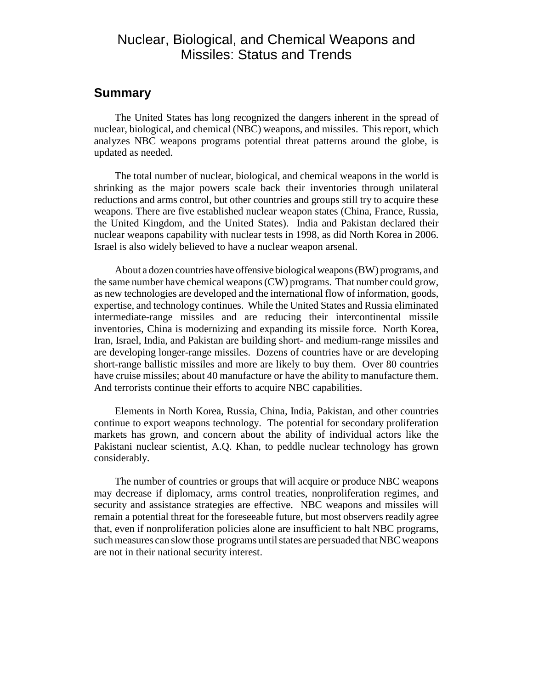# Nuclear, Biological, and Chemical Weapons and Missiles: Status and Trends

## **Summary**

The United States has long recognized the dangers inherent in the spread of nuclear, biological, and chemical (NBC) weapons, and missiles. This report, which analyzes NBC weapons programs potential threat patterns around the globe, is updated as needed.

The total number of nuclear, biological, and chemical weapons in the world is shrinking as the major powers scale back their inventories through unilateral reductions and arms control, but other countries and groups still try to acquire these weapons. There are five established nuclear weapon states (China, France, Russia, the United Kingdom, and the United States). India and Pakistan declared their nuclear weapons capability with nuclear tests in 1998, as did North Korea in 2006. Israel is also widely believed to have a nuclear weapon arsenal.

About a dozen countries have offensive biological weapons (BW) programs, and the same number have chemical weapons (CW) programs. That number could grow, as new technologies are developed and the international flow of information, goods, expertise, and technology continues. While the United States and Russia eliminated intermediate-range missiles and are reducing their intercontinental missile inventories, China is modernizing and expanding its missile force. North Korea, Iran, Israel, India, and Pakistan are building short- and medium-range missiles and are developing longer-range missiles. Dozens of countries have or are developing short-range ballistic missiles and more are likely to buy them. Over 80 countries have cruise missiles; about 40 manufacture or have the ability to manufacture them. And terrorists continue their efforts to acquire NBC capabilities.

Elements in North Korea, Russia, China, India, Pakistan, and other countries continue to export weapons technology. The potential for secondary proliferation markets has grown, and concern about the ability of individual actors like the Pakistani nuclear scientist, A.Q. Khan, to peddle nuclear technology has grown considerably.

The number of countries or groups that will acquire or produce NBC weapons may decrease if diplomacy, arms control treaties, nonproliferation regimes, and security and assistance strategies are effective. NBC weapons and missiles will remain a potential threat for the foreseeable future, but most observers readily agree that, even if nonproliferation policies alone are insufficient to halt NBC programs, such measures can slow those programs until states are persuaded that NBC weapons are not in their national security interest.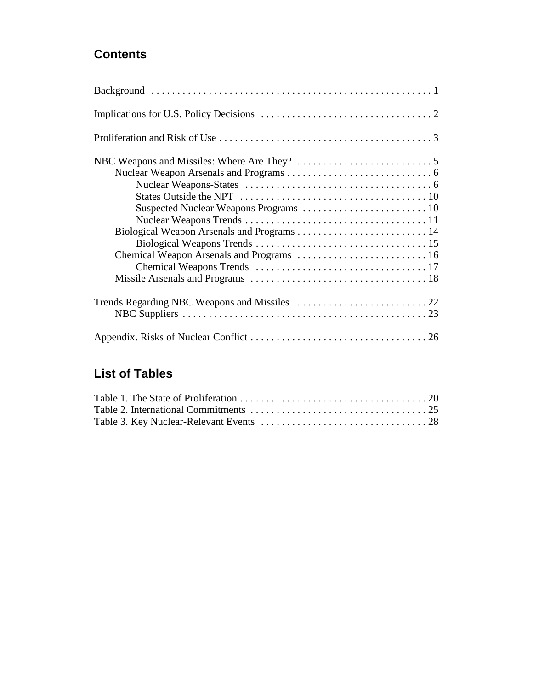# **Contents**

| Chemical Weapon Arsenals and Programs  16 |
|-------------------------------------------|
|                                           |
|                                           |
|                                           |
|                                           |
|                                           |

# **List of Tables**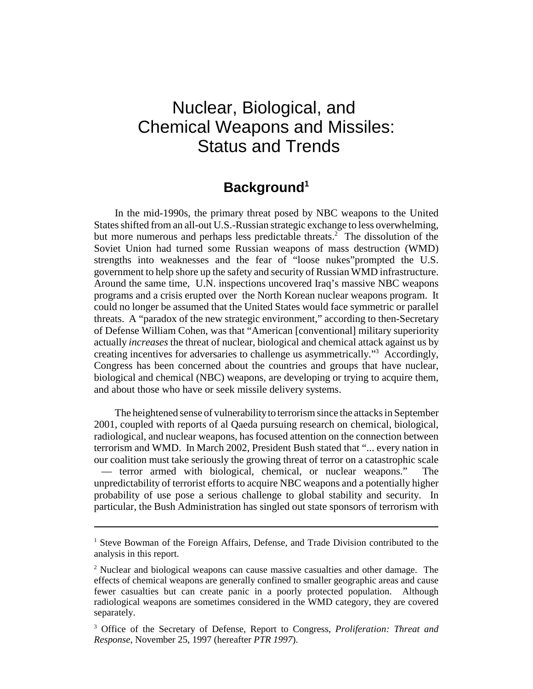# Nuclear, Biological, and Chemical Weapons and Missiles: Status and Trends

# **Background1**

In the mid-1990s, the primary threat posed by NBC weapons to the United States shifted from an all-out U.S.-Russian strategic exchange to less overwhelming, but more numerous and perhaps less predictable threats.<sup>2</sup> The dissolution of the Soviet Union had turned some Russian weapons of mass destruction (WMD) strengths into weaknesses and the fear of "loose nukes"prompted the U.S. government to help shore up the safety and security of Russian WMD infrastructure. Around the same time, U.N. inspections uncovered Iraq's massive NBC weapons programs and a crisis erupted over the North Korean nuclear weapons program. It could no longer be assumed that the United States would face symmetric or parallel threats. A "paradox of the new strategic environment," according to then-Secretary of Defense William Cohen, was that "American [conventional] military superiority actually *increases* the threat of nuclear, biological and chemical attack against us by creating incentives for adversaries to challenge us asymmetrically."<sup>3</sup> Accordingly, Congress has been concerned about the countries and groups that have nuclear, biological and chemical (NBC) weapons, are developing or trying to acquire them, and about those who have or seek missile delivery systems.

The heightened sense of vulnerability to terrorism since the attacks in September 2001, coupled with reports of al Qaeda pursuing research on chemical, biological, radiological, and nuclear weapons, has focused attention on the connection between terrorism and WMD. In March 2002, President Bush stated that "... every nation in our coalition must take seriously the growing threat of terror on a catastrophic scale — terror armed with biological, chemical, or nuclear weapons." The unpredictability of terrorist efforts to acquire NBC weapons and a potentially higher probability of use pose a serious challenge to global stability and security. In particular, the Bush Administration has singled out state sponsors of terrorism with

<sup>&</sup>lt;sup>1</sup> Steve Bowman of the Foreign Affairs, Defense, and Trade Division contributed to the analysis in this report.

<sup>&</sup>lt;sup>2</sup> Nuclear and biological weapons can cause massive casualties and other damage. The effects of chemical weapons are generally confined to smaller geographic areas and cause fewer casualties but can create panic in a poorly protected population. Although radiological weapons are sometimes considered in the WMD category, they are covered separately.

<sup>3</sup> Office of the Secretary of Defense, Report to Congress, *Proliferation: Threat and Response*, November 25, 1997 (hereafter *PTR 1997*).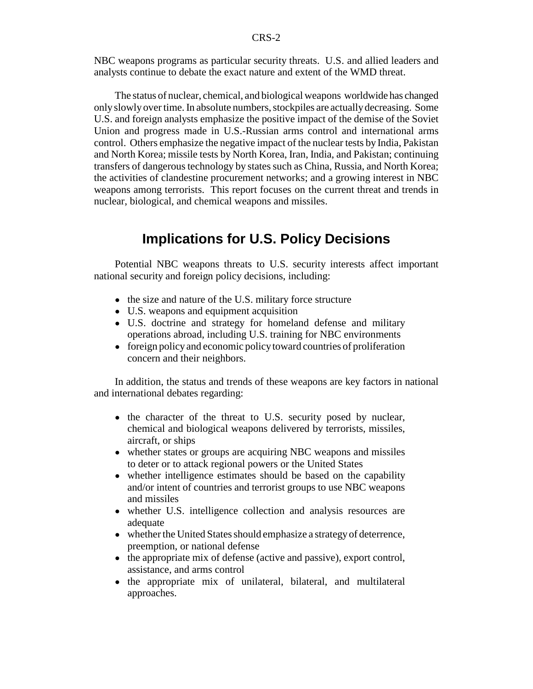NBC weapons programs as particular security threats. U.S. and allied leaders and analysts continue to debate the exact nature and extent of the WMD threat.

The status of nuclear, chemical, and biological weapons worldwide has changed only slowly over time. In absolute numbers, stockpiles are actually decreasing. Some U.S. and foreign analysts emphasize the positive impact of the demise of the Soviet Union and progress made in U.S.-Russian arms control and international arms control. Others emphasize the negative impact of the nuclear tests by India, Pakistan and North Korea; missile tests by North Korea, Iran, India, and Pakistan; continuing transfers of dangerous technology by states such as China, Russia, and North Korea; the activities of clandestine procurement networks; and a growing interest in NBC weapons among terrorists. This report focuses on the current threat and trends in nuclear, biological, and chemical weapons and missiles.

# **Implications for U.S. Policy Decisions**

Potential NBC weapons threats to U.S. security interests affect important national security and foreign policy decisions, including:

- the size and nature of the U.S. military force structure
- U.S. weapons and equipment acquisition
- U.S. doctrine and strategy for homeland defense and military operations abroad, including U.S. training for NBC environments
- foreign policy and economic policy toward countries of proliferation concern and their neighbors.

In addition, the status and trends of these weapons are key factors in national and international debates regarding:

- the character of the threat to U.S. security posed by nuclear, chemical and biological weapons delivered by terrorists, missiles, aircraft, or ships
- whether states or groups are acquiring NBC weapons and missiles to deter or to attack regional powers or the United States
- whether intelligence estimates should be based on the capability and/or intent of countries and terrorist groups to use NBC weapons and missiles
- whether U.S. intelligence collection and analysis resources are adequate
- whether the United States should emphasize a strategy of deterrence, preemption, or national defense
- the appropriate mix of defense (active and passive), export control, assistance, and arms control
- the appropriate mix of unilateral, bilateral, and multilateral approaches.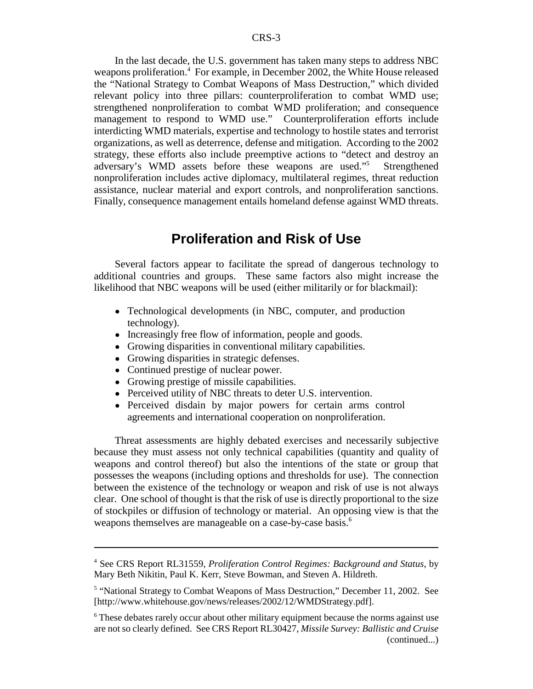In the last decade, the U.S. government has taken many steps to address NBC weapons proliferation.<sup>4</sup> For example, in December 2002, the White House released the "National Strategy to Combat Weapons of Mass Destruction," which divided relevant policy into three pillars: counterproliferation to combat WMD use; strengthened nonproliferation to combat WMD proliferation; and consequence management to respond to WMD use." Counterproliferation efforts include interdicting WMD materials, expertise and technology to hostile states and terrorist organizations, as well as deterrence, defense and mitigation. According to the 2002 strategy, these efforts also include preemptive actions to "detect and destroy an adversary's WMD assets before these weapons are used."5 Strengthened nonproliferation includes active diplomacy, multilateral regimes, threat reduction assistance, nuclear material and export controls, and nonproliferation sanctions. Finally, consequence management entails homeland defense against WMD threats.

## **Proliferation and Risk of Use**

Several factors appear to facilitate the spread of dangerous technology to additional countries and groups. These same factors also might increase the likelihood that NBC weapons will be used (either militarily or for blackmail):

- Technological developments (in NBC, computer, and production technology).
- Increasingly free flow of information, people and goods.
- Growing disparities in conventional military capabilities.
- Growing disparities in strategic defenses.
- Continued prestige of nuclear power.
- Growing prestige of missile capabilities.
- Perceived utility of NBC threats to deter U.S. intervention.
- ! Perceived disdain by major powers for certain arms control agreements and international cooperation on nonproliferation.

Threat assessments are highly debated exercises and necessarily subjective because they must assess not only technical capabilities (quantity and quality of weapons and control thereof) but also the intentions of the state or group that possesses the weapons (including options and thresholds for use). The connection between the existence of the technology or weapon and risk of use is not always clear. One school of thought is that the risk of use is directly proportional to the size of stockpiles or diffusion of technology or material. An opposing view is that the weapons themselves are manageable on a case-by-case basis.<sup>6</sup>

<sup>4</sup> See CRS Report RL31559, *Proliferation Control Regimes: Background and Status*, by Mary Beth Nikitin, Paul K. Kerr, Steve Bowman, and Steven A. Hildreth.

<sup>&</sup>lt;sup>5</sup> "National Strategy to Combat Weapons of Mass Destruction," December 11, 2002. See [http://www.whitehouse.gov/news/releases/2002/12/WMDStrategy.pdf].

<sup>&</sup>lt;sup>6</sup> These debates rarely occur about other military equipment because the norms against use are not so clearly defined. See CRS Report RL30427, *Missile Survey: Ballistic and Cruise* (continued...)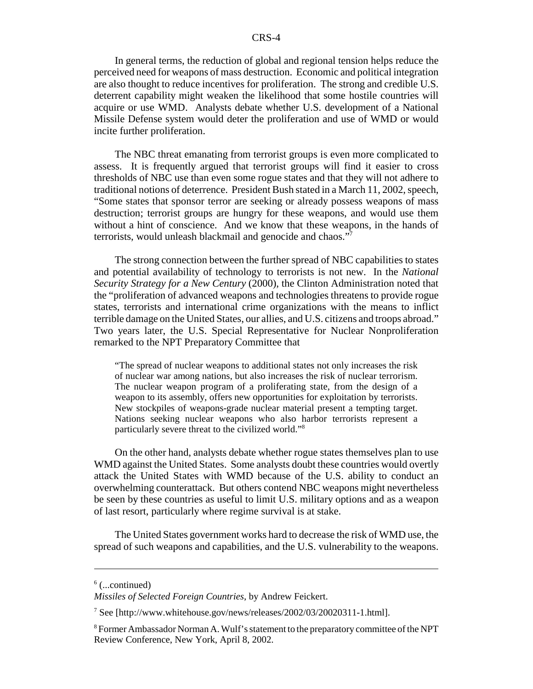In general terms, the reduction of global and regional tension helps reduce the perceived need for weapons of mass destruction. Economic and political integration are also thought to reduce incentives for proliferation. The strong and credible U.S. deterrent capability might weaken the likelihood that some hostile countries will acquire or use WMD. Analysts debate whether U.S. development of a National Missile Defense system would deter the proliferation and use of WMD or would incite further proliferation.

The NBC threat emanating from terrorist groups is even more complicated to assess. It is frequently argued that terrorist groups will find it easier to cross thresholds of NBC use than even some rogue states and that they will not adhere to traditional notions of deterrence. President Bush stated in a March 11, 2002, speech, "Some states that sponsor terror are seeking or already possess weapons of mass destruction; terrorist groups are hungry for these weapons, and would use them without a hint of conscience. And we know that these weapons, in the hands of terrorists, would unleash blackmail and genocide and chaos."7

The strong connection between the further spread of NBC capabilities to states and potential availability of technology to terrorists is not new. In the *National Security Strategy for a New Century* (2000), the Clinton Administration noted that the "proliferation of advanced weapons and technologies threatens to provide rogue states, terrorists and international crime organizations with the means to inflict terrible damage on the United States, our allies, and U.S. citizens and troops abroad." Two years later, the U.S. Special Representative for Nuclear Nonproliferation remarked to the NPT Preparatory Committee that

"The spread of nuclear weapons to additional states not only increases the risk of nuclear war among nations, but also increases the risk of nuclear terrorism. The nuclear weapon program of a proliferating state, from the design of a weapon to its assembly, offers new opportunities for exploitation by terrorists. New stockpiles of weapons-grade nuclear material present a tempting target. Nations seeking nuclear weapons who also harbor terrorists represent a particularly severe threat to the civilized world."8

On the other hand, analysts debate whether rogue states themselves plan to use WMD against the United States. Some analysts doubt these countries would overtly attack the United States with WMD because of the U.S. ability to conduct an overwhelming counterattack. But others contend NBC weapons might nevertheless be seen by these countries as useful to limit U.S. military options and as a weapon of last resort, particularly where regime survival is at stake.

The United States government works hard to decrease the risk of WMD use, the spread of such weapons and capabilities, and the U.S. vulnerability to the weapons.

 $6$  (...continued)

*Missiles of Selected Foreign Countries*, by Andrew Feickert.

<sup>&</sup>lt;sup>7</sup> See [http://www.whitehouse.gov/news/releases/2002/03/20020311-1.html].

<sup>&</sup>lt;sup>8</sup> Former Ambassador Norman A. Wulf's statement to the preparatory committee of the NPT Review Conference, New York, April 8, 2002.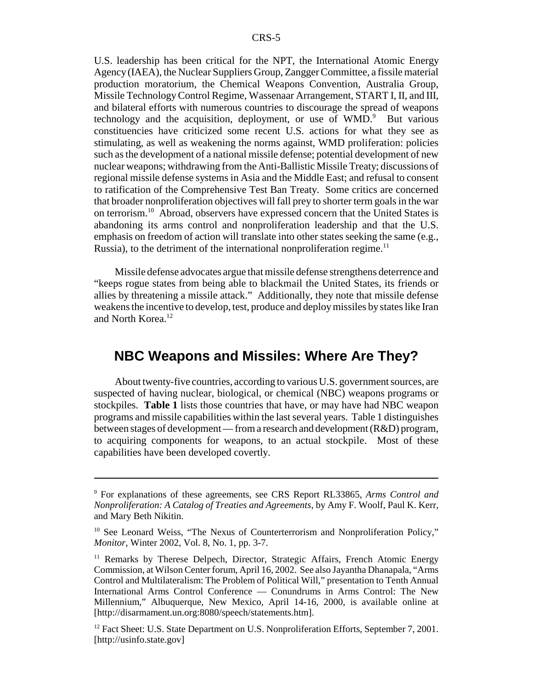U.S. leadership has been critical for the NPT, the International Atomic Energy Agency (IAEA), the Nuclear Suppliers Group, Zangger Committee, a fissile material production moratorium, the Chemical Weapons Convention, Australia Group, Missile Technology Control Regime, Wassenaar Arrangement, START I, II, and III, and bilateral efforts with numerous countries to discourage the spread of weapons technology and the acquisition, deployment, or use of WMD.<sup>9</sup> But various constituencies have criticized some recent U.S. actions for what they see as stimulating, as well as weakening the norms against, WMD proliferation: policies such as the development of a national missile defense; potential development of new nuclear weapons; withdrawing from the Anti-Ballistic Missile Treaty; discussions of regional missile defense systems in Asia and the Middle East; and refusal to consent to ratification of the Comprehensive Test Ban Treaty. Some critics are concerned that broader nonproliferation objectives will fall prey to shorter term goals in the war on terrorism.10 Abroad, observers have expressed concern that the United States is abandoning its arms control and nonproliferation leadership and that the U.S. emphasis on freedom of action will translate into other states seeking the same (e.g., Russia), to the detriment of the international nonproliferation regime.<sup>11</sup>

Missile defense advocates argue that missile defense strengthens deterrence and "keeps rogue states from being able to blackmail the United States, its friends or allies by threatening a missile attack." Additionally, they note that missile defense weakens the incentive to develop, test, produce and deploy missiles by states like Iran and North Korea.<sup>12</sup>

# **NBC Weapons and Missiles: Where Are They?**

About twenty-five countries, according to various U.S. government sources, are suspected of having nuclear, biological, or chemical (NBC) weapons programs or stockpiles. **Table 1** lists those countries that have, or may have had NBC weapon programs and missile capabilities within the last several years. Table 1 distinguishes between stages of development — from a research and development (R&D) program, to acquiring components for weapons, to an actual stockpile. Most of these capabilities have been developed covertly.

<sup>9</sup> For explanations of these agreements, see CRS Report RL33865, *Arms Control and Nonproliferation: A Catalog of Treaties and Agreements*, by Amy F. Woolf, Paul K. Kerr, and Mary Beth Nikitin.

<sup>&</sup>lt;sup>10</sup> See Leonard Weiss, "The Nexus of Counterterrorism and Nonproliferation Policy," *Monitor*, Winter 2002, Vol. 8, No. 1, pp. 3-7.

<sup>&</sup>lt;sup>11</sup> Remarks by Therese Delpech, Director, Strategic Affairs, French Atomic Energy Commission, at Wilson Center forum, April 16, 2002. See also Jayantha Dhanapala, "Arms Control and Multilateralism: The Problem of Political Will," presentation to Tenth Annual International Arms Control Conference — Conundrums in Arms Control: The New Millennium," Albuquerque, New Mexico, April 14-16, 2000, is available online at [http://disarmament.un.org:8080/speech/statements.htm].

<sup>&</sup>lt;sup>12</sup> Fact Sheet: U.S. State Department on U.S. Nonproliferation Efforts, September 7, 2001. [http://usinfo.state.gov]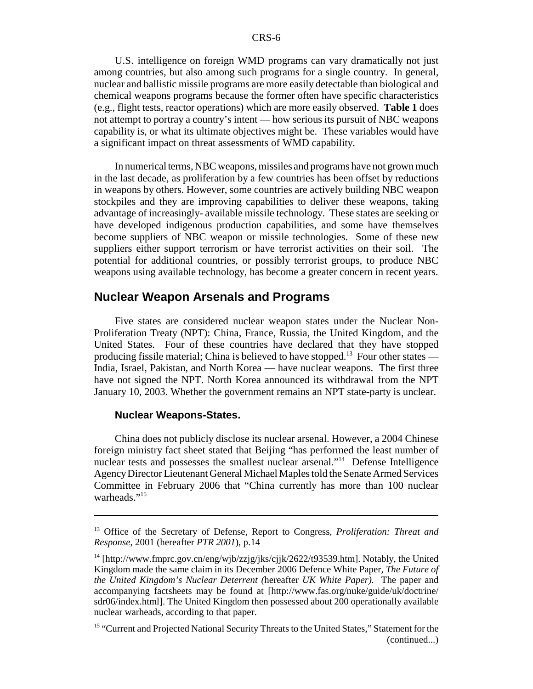U.S. intelligence on foreign WMD programs can vary dramatically not just among countries, but also among such programs for a single country. In general, nuclear and ballistic missile programs are more easily detectable than biological and chemical weapons programs because the former often have specific characteristics (e.g., flight tests, reactor operations) which are more easily observed. **Table 1** does not attempt to portray a country's intent — how serious its pursuit of NBC weapons capability is, or what its ultimate objectives might be. These variables would have a significant impact on threat assessments of WMD capability.

In numerical terms, NBC weapons, missiles and programs have not grown much in the last decade, as proliferation by a few countries has been offset by reductions in weapons by others. However, some countries are actively building NBC weapon stockpiles and they are improving capabilities to deliver these weapons, taking advantage of increasingly- available missile technology. These states are seeking or have developed indigenous production capabilities, and some have themselves become suppliers of NBC weapon or missile technologies. Some of these new suppliers either support terrorism or have terrorist activities on their soil. The potential for additional countries, or possibly terrorist groups, to produce NBC weapons using available technology, has become a greater concern in recent years.

#### **Nuclear Weapon Arsenals and Programs**

Five states are considered nuclear weapon states under the Nuclear Non-Proliferation Treaty (NPT): China, France, Russia, the United Kingdom, and the United States. Four of these countries have declared that they have stopped producing fissile material; China is believed to have stopped.<sup>13</sup> Four other states — India, Israel, Pakistan, and North Korea — have nuclear weapons. The first three have not signed the NPT. North Korea announced its withdrawal from the NPT January 10, 2003. Whether the government remains an NPT state-party is unclear.

#### **Nuclear Weapons-States.**

China does not publicly disclose its nuclear arsenal. However, a 2004 Chinese foreign ministry fact sheet stated that Beijing "has performed the least number of nuclear tests and possesses the smallest nuclear arsenal."<sup>14</sup> Defense Intelligence Agency Director Lieutenant General Michael Maples told the Senate Armed Services Committee in February 2006 that "China currently has more than 100 nuclear warheads."<sup>15</sup>

<sup>13</sup> Office of the Secretary of Defense, Report to Congress, *Proliferation: Threat and Response*, 2001 (hereafter *PTR 2001*), p.14

<sup>&</sup>lt;sup>14</sup> [http://www.fmprc.gov.cn/eng/wjb/zzjg/jks/cjjk/2622/t93539.htm]. Notably, the United Kingdom made the same claim in its December 2006 Defence White Paper*, The Future of the United Kingdom's Nuclear Deterrent (*hereafter *UK White Paper).* The paper and accompanying factsheets may be found at [http://www.fas.org/nuke/guide/uk/doctrine/ sdr06/index.html]. The United Kingdom then possessed about 200 operationally available nuclear warheads, according to that paper.

<sup>&</sup>lt;sup>15</sup> "Current and Projected National Security Threats to the United States," Statement for the (continued...)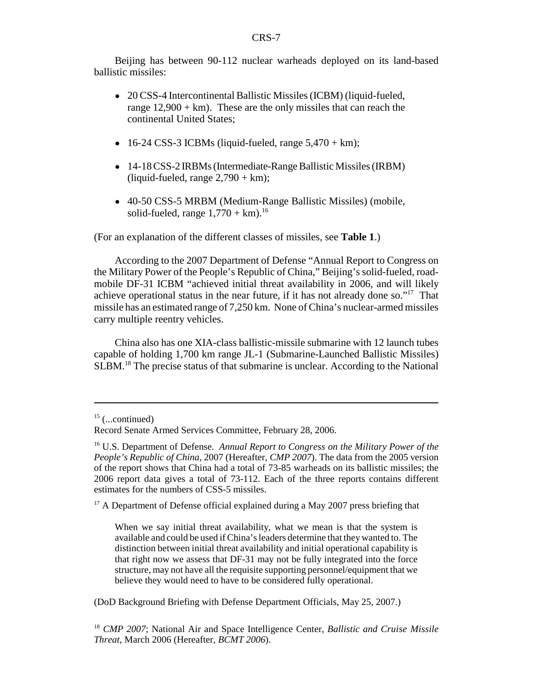Beijing has between 90-112 nuclear warheads deployed on its land-based ballistic missiles:

- 20 CSS-4 Intercontinental Ballistic Missiles (ICBM) (liquid-fueled, range  $12,900 + km$ ). These are the only missiles that can reach the continental United States;
- $\bullet$  16-24 CSS-3 ICBMs (liquid-fueled, range  $5,470 + km$ );
- 14-18 CSS-2 IRBMs (Intermediate-Range Ballistic Missiles (IRBM) (liquid-fueled, range  $2,790 + km$ );
- ! 40-50 CSS-5 MRBM (Medium-Range Ballistic Missiles) (mobile, solid-fueled, range  $1,770 + km$ <sup>16</sup>

(For an explanation of the different classes of missiles, see **Table 1**.)

According to the 2007 Department of Defense "Annual Report to Congress on the Military Power of the People's Republic of China," Beijing's solid-fueled, roadmobile DF-31 ICBM "achieved initial threat availability in 2006, and will likely achieve operational status in the near future, if it has not already done so."<sup>17</sup> That missile has an estimated range of 7,250 km. None of China's nuclear-armed missiles carry multiple reentry vehicles.

China also has one XIA-class ballistic-missile submarine with 12 launch tubes capable of holding 1,700 km range JL-1 (Submarine-Launched Ballistic Missiles) SLBM.<sup>18</sup> The precise status of that submarine is unclear. According to the National

 $17$  A Department of Defense official explained during a May 2007 press briefing that

(DoD Background Briefing with Defense Department Officials, May 25, 2007.)

<sup>18</sup> *CMP 2007*; National Air and Space Intelligence Center, *Ballistic and Cruise Missile Threat*, March 2006 (Hereafter, *BCMT 2006*).

 $15$  (...continued)

Record Senate Armed Services Committee, February 28, 2006.

<sup>16</sup> U.S. Department of Defense. *Annual Report to Congress on the Military Power of the People's Republic of China*, 2007 (Hereafter, *CMP 2007*). The data from the 2005 version of the report shows that China had a total of 73-85 warheads on its ballistic missiles; the 2006 report data gives a total of 73-112. Each of the three reports contains different estimates for the numbers of CSS-5 missiles.

When we say initial threat availability, what we mean is that the system is available and could be used if China's leaders determine that they wanted to. The distinction between initial threat availability and initial operational capability is that right now we assess that DF-31 may not be fully integrated into the force structure, may not have all the requisite supporting personnel/equipment that we believe they would need to have to be considered fully operational.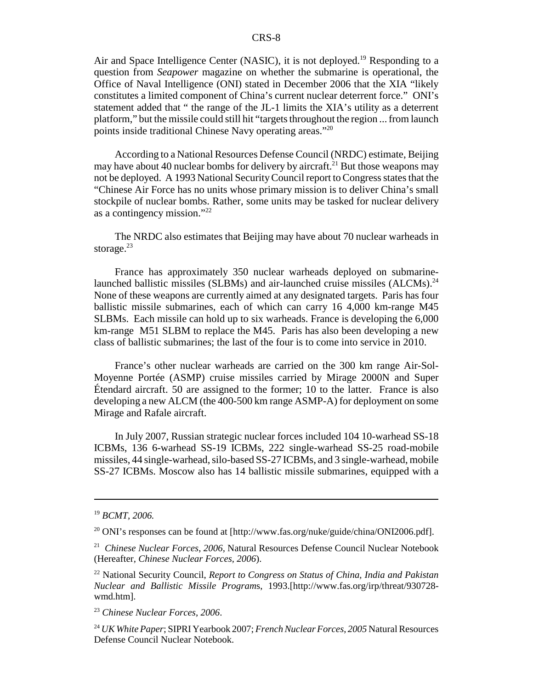Air and Space Intelligence Center (NASIC), it is not deployed.<sup>19</sup> Responding to a question from *Seapower* magazine on whether the submarine is operational, the Office of Naval Intelligence (ONI) stated in December 2006 that the XIA "likely constitutes a limited component of China's current nuclear deterrent force." ONI's statement added that " the range of the JL-1 limits the XIA's utility as a deterrent platform," but the missile could still hit "targets throughout the region ... from launch points inside traditional Chinese Navy operating areas."20

According to a National Resources Defense Council (NRDC) estimate, Beijing may have about 40 nuclear bombs for delivery by aircraft.<sup>21</sup> But those weapons may not be deployed. A 1993 National Security Council report to Congress states that the "Chinese Air Force has no units whose primary mission is to deliver China's small stockpile of nuclear bombs. Rather, some units may be tasked for nuclear delivery as a contingency mission."22

The NRDC also estimates that Beijing may have about 70 nuclear warheads in storage. $^{23}$ 

France has approximately 350 nuclear warheads deployed on submarinelaunched ballistic missiles (SLBMs) and air-launched cruise missiles (ALCMs).<sup>24</sup> None of these weapons are currently aimed at any designated targets. Paris has four ballistic missile submarines, each of which can carry 16 4,000 km-range M45 SLBMs. Each missile can hold up to six warheads. France is developing the 6,000 km-range M51 SLBM to replace the M45. Paris has also been developing a new class of ballistic submarines; the last of the four is to come into service in 2010.

France's other nuclear warheads are carried on the 300 km range Air-Sol-Moyenne Portée (ASMP) cruise missiles carried by Mirage 2000N and Super Étendard aircraft. 50 are assigned to the former; 10 to the latter. France is also developing a new ALCM (the 400-500 km range ASMP-A) for deployment on some Mirage and Rafale aircraft.

In July 2007, Russian strategic nuclear forces included 104 10-warhead SS-18 ICBMs, 136 6-warhead SS-19 ICBMs, 222 single-warhead SS-25 road-mobile missiles, 44 single-warhead, silo-based SS-27 ICBMs, and 3 single-warhead, mobile SS-27 ICBMs. Moscow also has 14 ballistic missile submarines, equipped with a

<sup>19</sup> *BCMT, 2006.*

 $^{20}$  ONI's responses can be found at [http://www.fas.org/nuke/guide/china/ONI2006.pdf].

<sup>21</sup> *Chinese Nuclear Forces*, *2006,* Natural Resources Defense Council Nuclear Notebook (Hereafter, *Chinese Nuclear Forces, 2006*).

<sup>22</sup> National Security Council, *Report to Congress on Status of China, India and Pakistan Nuclear and Ballistic Missile Program*s, 1993.[http://www.fas.org/irp/threat/930728 wmd.htm].

<sup>23</sup> *Chinese Nuclear Forces*, *2006*.

<sup>24</sup> *UK White Paper*; SIPRI Yearbook 2007; *French Nuclear Forces*, *2005* Natural Resources Defense Council Nuclear Notebook.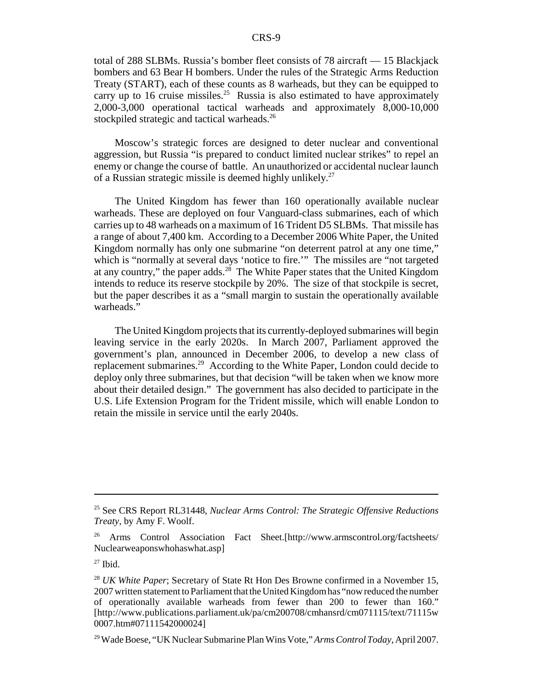total of 288 SLBMs. Russia's bomber fleet consists of 78 aircraft — 15 Blackjack bombers and 63 Bear H bombers. Under the rules of the Strategic Arms Reduction Treaty (START), each of these counts as 8 warheads, but they can be equipped to carry up to 16 cruise missiles.<sup>25</sup> Russia is also estimated to have approximately 2,000-3,000 operational tactical warheads and approximately 8,000-10,000 stockpiled strategic and tactical warheads.<sup>26</sup>

Moscow's strategic forces are designed to deter nuclear and conventional aggression, but Russia "is prepared to conduct limited nuclear strikes" to repel an enemy or change the course of battle. An unauthorized or accidental nuclear launch of a Russian strategic missile is deemed highly unlikely.<sup>27</sup>

The United Kingdom has fewer than 160 operationally available nuclear warheads. These are deployed on four Vanguard-class submarines, each of which carries up to 48 warheads on a maximum of 16 Trident D5 SLBMs. That missile has a range of about 7,400 km. According to a December 2006 White Paper, the United Kingdom normally has only one submarine "on deterrent patrol at any one time," which is "normally at several days 'notice to fire.'" The missiles are "not targeted at any country," the paper adds.<sup>28</sup> The White Paper states that the United Kingdom intends to reduce its reserve stockpile by 20%. The size of that stockpile is secret, but the paper describes it as a "small margin to sustain the operationally available warheads."

The United Kingdom projects that its currently-deployed submarines will begin leaving service in the early 2020s. In March 2007, Parliament approved the government's plan, announced in December 2006, to develop a new class of replacement submarines.29 According to the White Paper, London could decide to deploy only three submarines, but that decision "will be taken when we know more about their detailed design." The government has also decided to participate in the U.S. Life Extension Program for the Trident missile, which will enable London to retain the missile in service until the early 2040s.

<sup>25</sup> See CRS Report RL31448, *Nuclear Arms Control: The Strategic Offensive Reductions Treaty*, by Amy F. Woolf.

<sup>26</sup> Arms Control Association Fact Sheet.[http://www.armscontrol.org/factsheets/ Nuclearweaponswhohaswhat.asp]

 $27$  Ibid.

<sup>&</sup>lt;sup>28</sup> *UK White Paper*; Secretary of State Rt Hon Des Browne confirmed in a November 15, 2007 written statement to Parliament that the United Kingdom has "now reduced the number of operationally available warheads from fewer than 200 to fewer than 160." [http://www.publications.parliament.uk/pa/cm200708/cmhansrd/cm071115/text/71115w 0007.htm#07111542000024]

<sup>29</sup> Wade Boese, "UK Nuclear Submarine Plan Wins Vote," *Arms Control Today*, April 2007.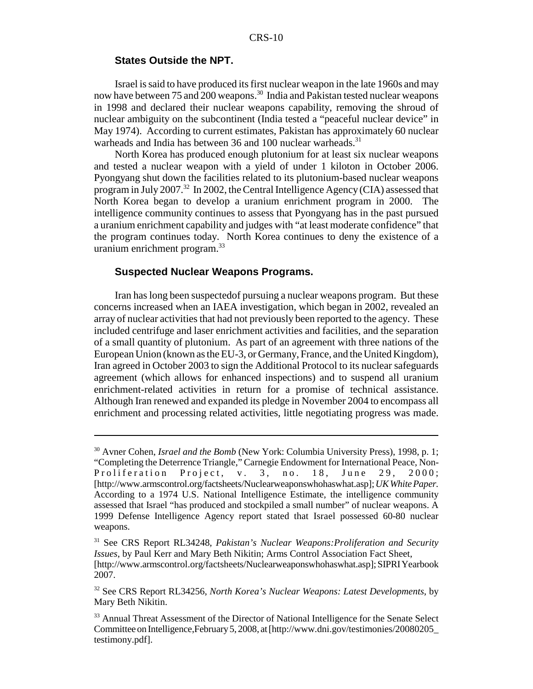#### **States Outside the NPT.**

Israel is said to have produced its first nuclear weapon in the late 1960s and may now have between 75 and 200 weapons.<sup>30</sup> India and Pakistan tested nuclear weapons in 1998 and declared their nuclear weapons capability, removing the shroud of nuclear ambiguity on the subcontinent (India tested a "peaceful nuclear device" in May 1974). According to current estimates, Pakistan has approximately 60 nuclear warheads and India has between 36 and 100 nuclear warheads.<sup>31</sup>

North Korea has produced enough plutonium for at least six nuclear weapons and tested a nuclear weapon with a yield of under 1 kiloton in October 2006. Pyongyang shut down the facilities related to its plutonium-based nuclear weapons program in July 2007.<sup>32</sup> In 2002, the Central Intelligence Agency (CIA) assessed that North Korea began to develop a uranium enrichment program in 2000. The intelligence community continues to assess that Pyongyang has in the past pursued a uranium enrichment capability and judges with "at least moderate confidence" that the program continues today. North Korea continues to deny the existence of a uranium enrichment program.<sup>33</sup>

#### **Suspected Nuclear Weapons Programs.**

Iran has long been suspectedof pursuing a nuclear weapons program. But these concerns increased when an IAEA investigation, which began in 2002, revealed an array of nuclear activities that had not previously been reported to the agency. These included centrifuge and laser enrichment activities and facilities, and the separation of a small quantity of plutonium. As part of an agreement with three nations of the European Union (known as the EU-3, or Germany, France, and the United Kingdom), Iran agreed in October 2003 to sign the Additional Protocol to its nuclear safeguards agreement (which allows for enhanced inspections) and to suspend all uranium enrichment-related activities in return for a promise of technical assistance. Although Iran renewed and expanded its pledge in November 2004 to encompass all enrichment and processing related activities, little negotiating progress was made.

<sup>30</sup> Avner Cohen, *Israel and the Bomb* (New York: Columbia University Press), 1998, p. 1; "Completing the Deterrence Triangle," Carnegie Endowment for International Peace, Non-Proliferation Project, v. 3, no. 18, June 29, 2000; [http://www.armscontrol.org/factsheets/Nuclearweaponswhohaswhat.asp]; *UK White Paper.* According to a 1974 U.S. National Intelligence Estimate, the intelligence community assessed that Israel "has produced and stockpiled a small number" of nuclear weapons. A 1999 Defense Intelligence Agency report stated that Israel possessed 60-80 nuclear weapons.

<sup>31</sup> See CRS Report RL34248, *Pakistan's Nuclear Weapons:Proliferation and Security Issues*, by Paul Kerr and Mary Beth Nikitin; Arms Control Association Fact Sheet,

<sup>[</sup>http://www.armscontrol.org/factsheets/Nuclearweaponswhohaswhat.asp]; SIPRI Yearbook 2007.

<sup>32</sup> See CRS Report RL34256, *North Korea's Nuclear Weapons: Latest Developments*, by Mary Beth Nikitin.

<sup>&</sup>lt;sup>33</sup> Annual Threat Assessment of the Director of National Intelligence for the Senate Select Committee on Intelligence,February 5, 2008, at [http://www.dni.gov/testimonies/20080205\_ testimony.pdf].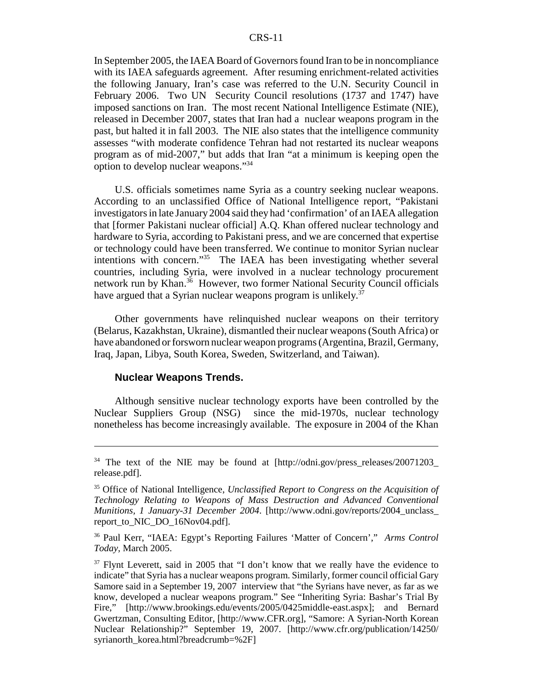In September 2005, the IAEA Board of Governors found Iran to be in noncompliance with its IAEA safeguards agreement. After resuming enrichment-related activities the following January, Iran's case was referred to the U.N. Security Council in February 2006. Two UN Security Council resolutions (1737 and 1747) have imposed sanctions on Iran. The most recent National Intelligence Estimate (NIE), released in December 2007, states that Iran had a nuclear weapons program in the past, but halted it in fall 2003. The NIE also states that the intelligence community assesses "with moderate confidence Tehran had not restarted its nuclear weapons program as of mid-2007," but adds that Iran "at a minimum is keeping open the option to develop nuclear weapons."34

U.S. officials sometimes name Syria as a country seeking nuclear weapons. According to an unclassified Office of National Intelligence report, "Pakistani investigators in late January 2004 said they had 'confirmation' of an IAEA allegation that [former Pakistani nuclear official] A.Q. Khan offered nuclear technology and hardware to Syria, according to Pakistani press, and we are concerned that expertise or technology could have been transferred. We continue to monitor Syrian nuclear intentions with concern."35 The IAEA has been investigating whether several countries, including Syria, were involved in a nuclear technology procurement network run by Khan.<sup>36</sup> However, two former National Security Council officials have argued that a Syrian nuclear weapons program is unlikely.<sup>37</sup>

Other governments have relinquished nuclear weapons on their territory (Belarus, Kazakhstan, Ukraine), dismantled their nuclear weapons (South Africa) or have abandoned or forsworn nuclear weapon programs (Argentina, Brazil, Germany, Iraq, Japan, Libya, South Korea, Sweden, Switzerland, and Taiwan).

#### **Nuclear Weapons Trends.**

Although sensitive nuclear technology exports have been controlled by the Nuclear Suppliers Group (NSG) since the mid-1970s, nuclear technology nonetheless has become increasingly available. The exposure in 2004 of the Khan

<sup>&</sup>lt;sup>34</sup> The text of the NIE may be found at [http://odni.gov/press\_releases/20071203\_ release.pdf].

<sup>35</sup> Office of National Intelligence, *Unclassified Report to Congress on the Acquisition of Technology Relating to Weapons of Mass Destruction and Advanced Conventional Munitions, 1 January-31 December 2004*. [http://www.odni.gov/reports/2004\_unclass\_ report\_to\_NIC\_DO\_16Nov04.pdf].

<sup>36</sup> Paul Kerr, "IAEA: Egypt's Reporting Failures 'Matter of Concern'," *Arms Control Today,* March 2005.

 $37$  Flynt Leverett, said in 2005 that "I don't know that we really have the evidence to indicate" that Syria has a nuclear weapons program. Similarly, former council official Gary Samore said in a September 19, 2007 interview that "the Syrians have never, as far as we know, developed a nuclear weapons program." See "Inheriting Syria: Bashar's Trial By Fire," [http://www.brookings.edu/events/2005/0425middle-east.aspx]; and Bernard Gwertzman, Consulting Editor, [http://www.CFR.org], "Samore: A Syrian-North Korean Nuclear Relationship?" September 19, 2007. [http://www.cfr.org/publication/14250/ syrianorth\_korea.html?breadcrumb=%2F]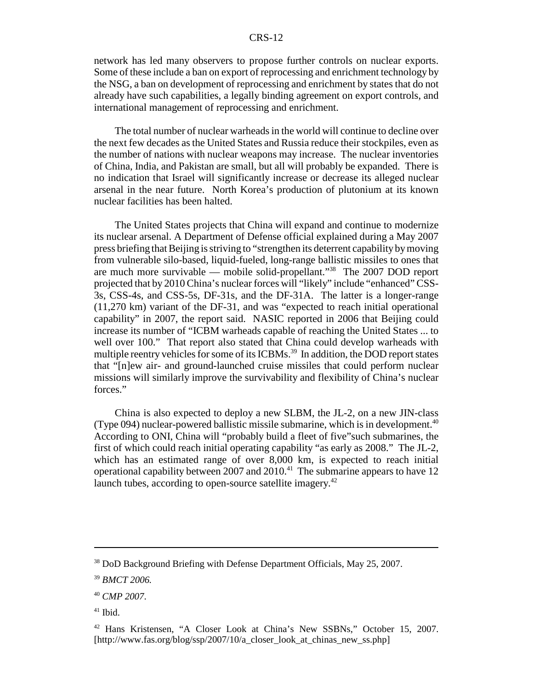network has led many observers to propose further controls on nuclear exports. Some of these include a ban on export of reprocessing and enrichment technology by the NSG, a ban on development of reprocessing and enrichment by states that do not already have such capabilities, a legally binding agreement on export controls, and international management of reprocessing and enrichment.

The total number of nuclear warheads in the world will continue to decline over the next few decades as the United States and Russia reduce their stockpiles, even as the number of nations with nuclear weapons may increase. The nuclear inventories of China, India, and Pakistan are small, but all will probably be expanded. There is no indication that Israel will significantly increase or decrease its alleged nuclear arsenal in the near future. North Korea's production of plutonium at its known nuclear facilities has been halted.

The United States projects that China will expand and continue to modernize its nuclear arsenal. A Department of Defense official explained during a May 2007 press briefing that Beijing is striving to "strengthen its deterrent capability by moving from vulnerable silo-based, liquid-fueled, long-range ballistic missiles to ones that are much more survivable — mobile solid-propellant."38 The 2007 DOD report projected that by 2010 China's nuclear forces will "likely" include "enhanced" CSS-3s, CSS-4s, and CSS-5s, DF-31s, and the DF-31A. The latter is a longer-range (11,270 km) variant of the DF-31, and was "expected to reach initial operational capability" in 2007, the report said. NASIC reported in 2006 that Beijing could increase its number of "ICBM warheads capable of reaching the United States ... to well over 100." That report also stated that China could develop warheads with multiple reentry vehicles for some of its ICBMs.<sup>39</sup> In addition, the DOD report states that "[n]ew air- and ground-launched cruise missiles that could perform nuclear missions will similarly improve the survivability and flexibility of China's nuclear forces."

China is also expected to deploy a new SLBM, the JL-2, on a new JIN-class (Type 094) nuclear-powered ballistic missile submarine, which is in development.<sup>40</sup> According to ONI, China will "probably build a fleet of five"such submarines, the first of which could reach initial operating capability "as early as 2008." The JL-2, which has an estimated range of over 8,000 km, is expected to reach initial operational capability between 2007 and 2010.<sup>41</sup> The submarine appears to have 12 launch tubes, according to open-source satellite imagery.<sup>42</sup>

 $41$  Ibid.

<sup>&</sup>lt;sup>38</sup> DoD Background Briefing with Defense Department Officials, May 25, 2007.

<sup>39</sup> *BMCT 2006.*

<sup>40</sup> *CMP 2007*.

<sup>42</sup> Hans Kristensen, "A Closer Look at China's New SSBNs," October 15, 2007. [http://www.fas.org/blog/ssp/2007/10/a\_closer\_look\_at\_chinas\_new\_ss.php]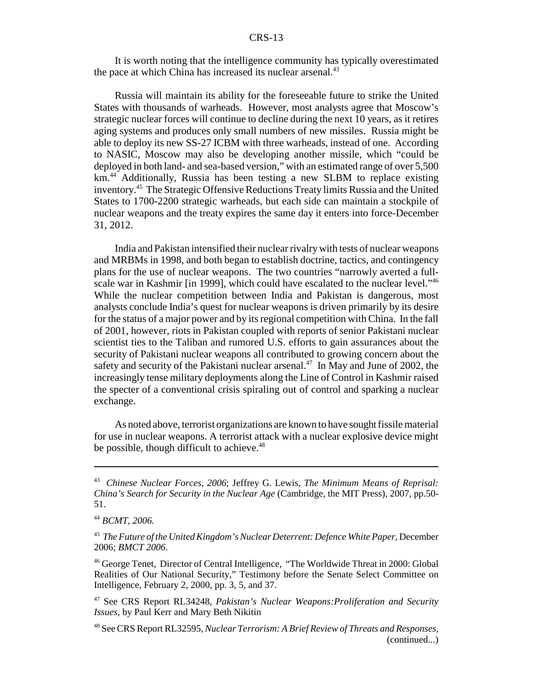It is worth noting that the intelligence community has typically overestimated the pace at which China has increased its nuclear arsenal.<sup>43</sup>

Russia will maintain its ability for the foreseeable future to strike the United States with thousands of warheads. However, most analysts agree that Moscow's strategic nuclear forces will continue to decline during the next 10 years, as it retires aging systems and produces only small numbers of new missiles. Russia might be able to deploy its new SS-27 ICBM with three warheads, instead of one. According to NASIC, Moscow may also be developing another missile, which "could be deployed in both land- and sea-based version," with an estimated range of over 5,500 km.<sup>44</sup> Additionally, Russia has been testing a new SLBM to replace existing inventory.45 The Strategic Offensive Reductions Treaty limits Russia and the United States to 1700-2200 strategic warheads, but each side can maintain a stockpile of nuclear weapons and the treaty expires the same day it enters into force-December 31, 2012.

India and Pakistan intensified their nuclear rivalry with tests of nuclear weapons and MRBMs in 1998, and both began to establish doctrine, tactics, and contingency plans for the use of nuclear weapons. The two countries "narrowly averted a fullscale war in Kashmir [in 1999], which could have escalated to the nuclear level.<sup>146</sup> While the nuclear competition between India and Pakistan is dangerous, most analysts conclude India's quest for nuclear weapons is driven primarily by its desire for the status of a major power and by its regional competition with China. In the fall of 2001, however, riots in Pakistan coupled with reports of senior Pakistani nuclear scientist ties to the Taliban and rumored U.S. efforts to gain assurances about the security of Pakistani nuclear weapons all contributed to growing concern about the safety and security of the Pakistani nuclear arsenal.<sup>47</sup> In May and June of 2002, the increasingly tense military deployments along the Line of Control in Kashmir raised the specter of a conventional crisis spiraling out of control and sparking a nuclear exchange.

As noted above, terrorist organizations are known to have sought fissile material for use in nuclear weapons. A terrorist attack with a nuclear explosive device might be possible, though difficult to achieve.<sup>48</sup>

46 George Tenet, Director of Central Intelligence, "The Worldwide Threat in 2000: Global Realities of Our National Security," Testimony before the Senate Select Committee on Intelligence, February 2, 2000, pp. 3, 5, and 37.

<sup>43</sup> *Chinese Nuclear Forces*, *2006*; Jeffrey G. Lewis, *The Minimum Means of Reprisal: China's Search for Security in the Nuclear Age* (Cambridge, the MIT Press), 2007, pp.50- 51.

<sup>44</sup> *BCMT, 2006.*

<sup>45</sup> *The Future of the United Kingdom's Nuclear Deterrent: Defence White Paper*, December 2006; *BMCT 2006*.

<sup>47</sup> See CRS Report RL34248, *Pakistan's Nuclear Weapons:Proliferation and Security Issues*, by Paul Kerr and Mary Beth Nikitin

<sup>48</sup> See CRS Report RL32595, *Nuclear Terrorism: A Brief Review of Threats and Responses,* (continued...)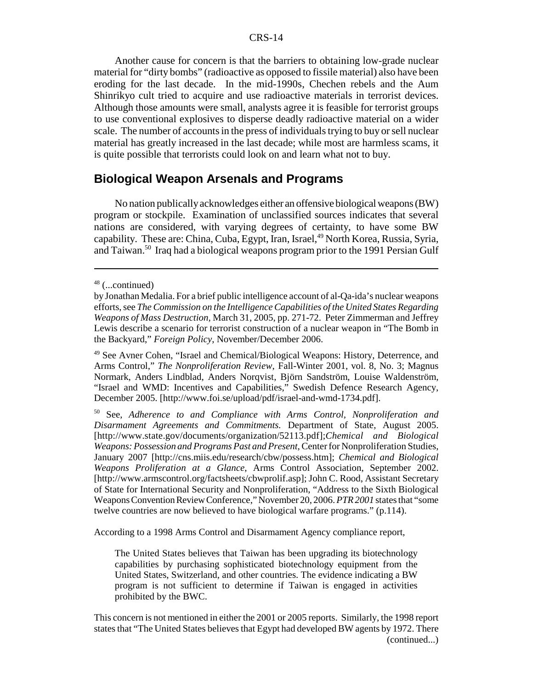Another cause for concern is that the barriers to obtaining low-grade nuclear material for "dirty bombs" (radioactive as opposed to fissile material) also have been eroding for the last decade. In the mid-1990s, Chechen rebels and the Aum Shinrikyo cult tried to acquire and use radioactive materials in terrorist devices. Although those amounts were small, analysts agree it is feasible for terrorist groups to use conventional explosives to disperse deadly radioactive material on a wider scale. The number of accounts in the press of individuals trying to buy or sell nuclear material has greatly increased in the last decade; while most are harmless scams, it is quite possible that terrorists could look on and learn what not to buy.

#### **Biological Weapon Arsenals and Programs**

No nation publically acknowledges either an offensive biological weapons (BW) program or stockpile. Examination of unclassified sources indicates that several nations are considered, with varying degrees of certainty, to have some BW capability. These are: China, Cuba, Egypt, Iran, Israel,<sup>49</sup> North Korea, Russia, Syria, and Taiwan.50 Iraq had a biological weapons program prior to the 1991 Persian Gulf

According to a 1998 Arms Control and Disarmament Agency compliance report,

The United States believes that Taiwan has been upgrading its biotechnology capabilities by purchasing sophisticated biotechnology equipment from the United States, Switzerland, and other countries. The evidence indicating a BW program is not sufficient to determine if Taiwan is engaged in activities prohibited by the BWC.

This concern is not mentioned in either the 2001 or 2005 reports. Similarly, the 1998 report states that "The United States believes that Egypt had developed BW agents by 1972. There (continued...)

<sup>48 (...</sup>continued)

by Jonathan Medalia. For a brief public intelligence account of al-Qa-ida's nuclear weapons efforts, see *The Commission on the Intelligence Capabilities of the United States Regarding Weapons of Mass Destruction,* March 31, 2005, pp. 271-72. Peter Zimmerman and Jeffrey Lewis describe a scenario for terrorist construction of a nuclear weapon in "The Bomb in the Backyard," *Foreign Policy*, November/December 2006.

<sup>49</sup> See Avner Cohen, "Israel and Chemical/Biological Weapons: History, Deterrence, and Arms Control," *The Nonproliferation Review*, Fall-Winter 2001, vol. 8, No. 3; Magnus Normark, Anders Lindblad, Anders Norqvist, Björn Sandström, Louise Waldenström, "Israel and WMD: Incentives and Capabilities," Swedish Defence Research Agency, December 2005. [http://www.foi.se/upload/pdf/israel-and-wmd-1734.pdf].

<sup>50</sup> See, *Adherence to and Compliance with Arms Control, Nonproliferation and Disarmament Agreements and Commitments.* Department of State, August 2005. [http://www.state.gov/documents/organization/52113.pdf];*Chemical and Biological Weapons: Possession and Programs Past and Present*, Center for Nonproliferation Studies, January 2007 [http://cns.miis.edu/research/cbw/possess.htm]; *Chemical and Biological Weapons Proliferation at a Glance*, Arms Control Association, September 2002. [http://www.armscontrol.org/factsheets/cbwprolif.asp]; John C. Rood, Assistant Secretary of State for International Security and Nonproliferation, "Address to the Sixth Biological Weapons Convention Review Conference," November 20, 2006. *PTR 2001* states that "some twelve countries are now believed to have biological warfare programs." (p.114).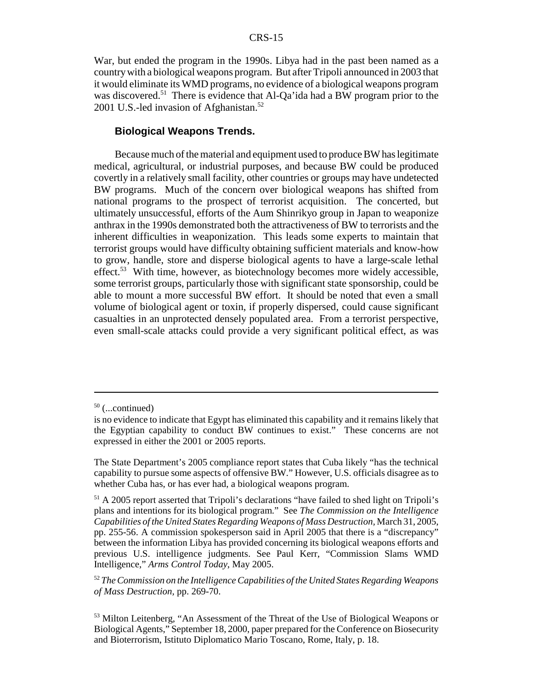War, but ended the program in the 1990s. Libya had in the past been named as a country with a biological weapons program. But after Tripoli announced in 2003 that it would eliminate its WMD programs, no evidence of a biological weapons program was discovered.<sup>51</sup> There is evidence that Al-Qa'ida had a BW program prior to the 2001 U.S.-led invasion of Afghanistan.<sup>52</sup>

#### **Biological Weapons Trends.**

Because much of the material and equipment used to produce BW has legitimate medical, agricultural, or industrial purposes, and because BW could be produced covertly in a relatively small facility, other countries or groups may have undetected BW programs. Much of the concern over biological weapons has shifted from national programs to the prospect of terrorist acquisition. The concerted, but ultimately unsuccessful, efforts of the Aum Shinrikyo group in Japan to weaponize anthrax in the 1990s demonstrated both the attractiveness of BW to terrorists and the inherent difficulties in weaponization. This leads some experts to maintain that terrorist groups would have difficulty obtaining sufficient materials and know-how to grow, handle, store and disperse biological agents to have a large-scale lethal effect.<sup>53</sup> With time, however, as biotechnology becomes more widely accessible, some terrorist groups, particularly those with significant state sponsorship, could be able to mount a more successful BW effort. It should be noted that even a small volume of biological agent or toxin, if properly dispersed, could cause significant casualties in an unprotected densely populated area. From a terrorist perspective, even small-scale attacks could provide a very significant political effect, as was

 $50$  (...continued)

is no evidence to indicate that Egypt has eliminated this capability and it remains likely that the Egyptian capability to conduct BW continues to exist." These concerns are not expressed in either the 2001 or 2005 reports.

The State Department's 2005 compliance report states that Cuba likely "has the technical capability to pursue some aspects of offensive BW." However, U.S. officials disagree as to whether Cuba has, or has ever had, a biological weapons program.

 $<sup>51</sup>$  A 2005 report asserted that Tripoli's declarations "have failed to shed light on Tripoli's</sup> plans and intentions for its biological program." See *The Commission on the Intelligence Capabilities of the United States Regarding Weapons of Mass Destruction,* March 31, 2005, pp. 255-56. A commission spokesperson said in April 2005 that there is a "discrepancy" between the information Libya has provided concerning its biological weapons efforts and previous U.S. intelligence judgments. See Paul Kerr, "Commission Slams WMD Intelligence," *Arms Control Today*, May 2005.

<sup>52</sup> *The Commission on the Intelligence Capabilities of the United States Regarding Weapons of Mass Destruction,* pp. 269-70.

<sup>53</sup> Milton Leitenberg, "An Assessment of the Threat of the Use of Biological Weapons or Biological Agents," September 18, 2000, paper prepared for the Conference on Biosecurity and Bioterrorism, Istituto Diplomatico Mario Toscano, Rome, Italy, p. 18.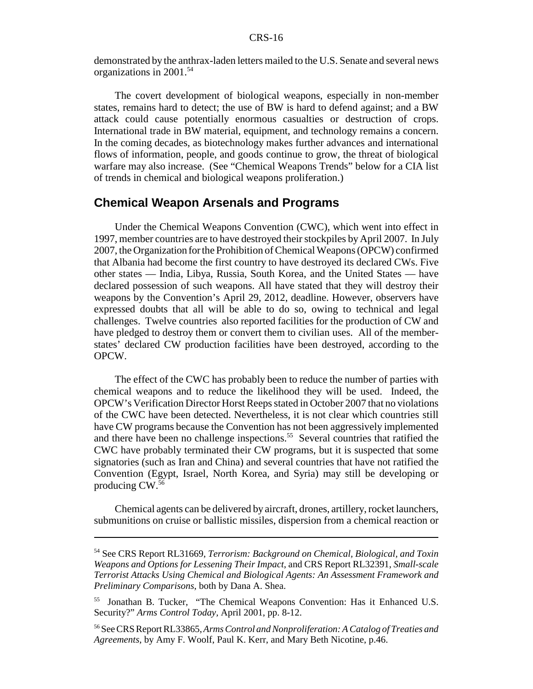demonstrated by the anthrax-laden letters mailed to the U.S. Senate and several news organizations in 2001.54

The covert development of biological weapons, especially in non-member states, remains hard to detect; the use of BW is hard to defend against; and a BW attack could cause potentially enormous casualties or destruction of crops. International trade in BW material, equipment, and technology remains a concern. In the coming decades, as biotechnology makes further advances and international flows of information, people, and goods continue to grow, the threat of biological warfare may also increase. (See "Chemical Weapons Trends" below for a CIA list of trends in chemical and biological weapons proliferation.)

#### **Chemical Weapon Arsenals and Programs**

Under the Chemical Weapons Convention (CWC), which went into effect in 1997, member countries are to have destroyed their stockpiles by April 2007. In July 2007, the Organization for the Prohibition of Chemical Weapons (OPCW) confirmed that Albania had become the first country to have destroyed its declared CWs. Five other states — India, Libya, Russia, South Korea, and the United States — have declared possession of such weapons. All have stated that they will destroy their weapons by the Convention's April 29, 2012, deadline. However, observers have expressed doubts that all will be able to do so, owing to technical and legal challenges. Twelve countries also reported facilities for the production of CW and have pledged to destroy them or convert them to civilian uses. All of the memberstates' declared CW production facilities have been destroyed, according to the OPCW.

The effect of the CWC has probably been to reduce the number of parties with chemical weapons and to reduce the likelihood they will be used. Indeed, the OPCW's Verification Director Horst Reeps stated in October 2007 that no violations of the CWC have been detected. Nevertheless, it is not clear which countries still have CW programs because the Convention has not been aggressively implemented and there have been no challenge inspections.<sup>55</sup> Several countries that ratified the CWC have probably terminated their CW programs, but it is suspected that some signatories (such as Iran and China) and several countries that have not ratified the Convention (Egypt, Israel, North Korea, and Syria) may still be developing or producing CW.56

Chemical agents can be delivered by aircraft, drones, artillery, rocket launchers, submunitions on cruise or ballistic missiles, dispersion from a chemical reaction or

<sup>54</sup> See CRS Report RL31669, *Terrorism: Background on Chemical, Biological, and Toxin Weapons and Options for Lessening Their Impact*, and CRS Report RL32391, *Small-scale Terrorist Attacks Using Chemical and Biological Agents: An Assessment Framework and Preliminary Comparisons*, both by Dana A. Shea.

<sup>55</sup> Jonathan B. Tucker, "The Chemical Weapons Convention: Has it Enhanced U.S. Security?" *Arms Control Today,* April 2001, pp. 8-12.

<sup>56</sup> See CRS Report RL33865, *Arms Control and Nonproliferation: A Catalog of Treaties and Agreements,* by Amy F. Woolf, Paul K. Kerr, and Mary Beth Nicotine, p.46.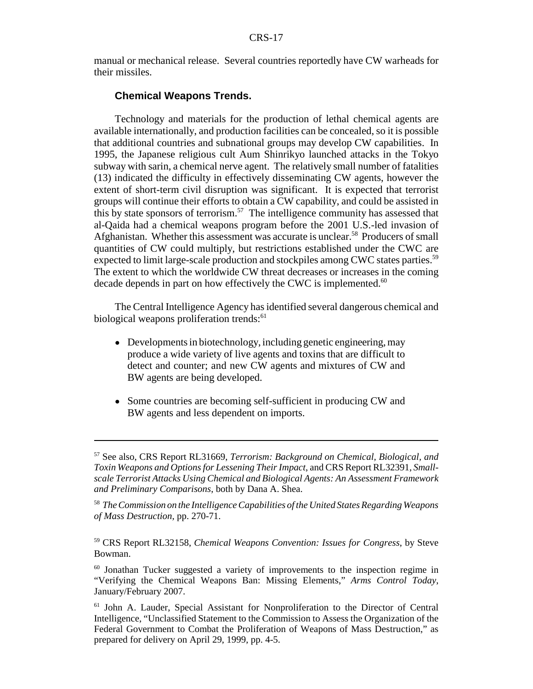manual or mechanical release. Several countries reportedly have CW warheads for their missiles.

#### **Chemical Weapons Trends.**

Technology and materials for the production of lethal chemical agents are available internationally, and production facilities can be concealed, so it is possible that additional countries and subnational groups may develop CW capabilities. In 1995, the Japanese religious cult Aum Shinrikyo launched attacks in the Tokyo subway with sarin, a chemical nerve agent. The relatively small number of fatalities (13) indicated the difficulty in effectively disseminating CW agents, however the extent of short-term civil disruption was significant. It is expected that terrorist groups will continue their efforts to obtain a CW capability, and could be assisted in this by state sponsors of terrorism.<sup>57</sup> The intelligence community has assessed that al-Qaida had a chemical weapons program before the 2001 U.S.-led invasion of Afghanistan. Whether this assessment was accurate is unclear.<sup>58</sup> Producers of small quantities of CW could multiply, but restrictions established under the CWC are expected to limit large-scale production and stockpiles among CWC states parties.<sup>59</sup> The extent to which the worldwide CW threat decreases or increases in the coming decade depends in part on how effectively the CWC is implemented.<sup>60</sup>

The Central Intelligence Agency has identified several dangerous chemical and biological weapons proliferation trends:<sup>61</sup>

- Developments in biotechnology, including genetic engineering, may produce a wide variety of live agents and toxins that are difficult to detect and counter; and new CW agents and mixtures of CW and BW agents are being developed.
- Some countries are becoming self-sufficient in producing CW and BW agents and less dependent on imports.

<sup>57</sup> See also, CRS Report RL31669, *Terrorism: Background on Chemical, Biological, and Toxin Weapons and Options for Lessening Their Impact*, and CRS Report RL32391, *Smallscale Terrorist Attacks Using Chemical and Biological Agents: An Assessment Framework and Preliminary Comparisons*, both by Dana A. Shea.

<sup>58</sup> *The Commission on the Intelligence Capabilities of the United States Regarding Weapons of Mass Destruction,* pp. 270-71.

<sup>59</sup> CRS Report RL32158, *Chemical Weapons Convention: Issues for Congress*, by Steve Bowman.

 $60$  Jonathan Tucker suggested a variety of improvements to the inspection regime in "Verifying the Chemical Weapons Ban: Missing Elements," *Arms Control Today*, January/February 2007.

<sup>61</sup> John A. Lauder, Special Assistant for Nonproliferation to the Director of Central Intelligence, "Unclassified Statement to the Commission to Assess the Organization of the Federal Government to Combat the Proliferation of Weapons of Mass Destruction," as prepared for delivery on April 29, 1999, pp. 4-5.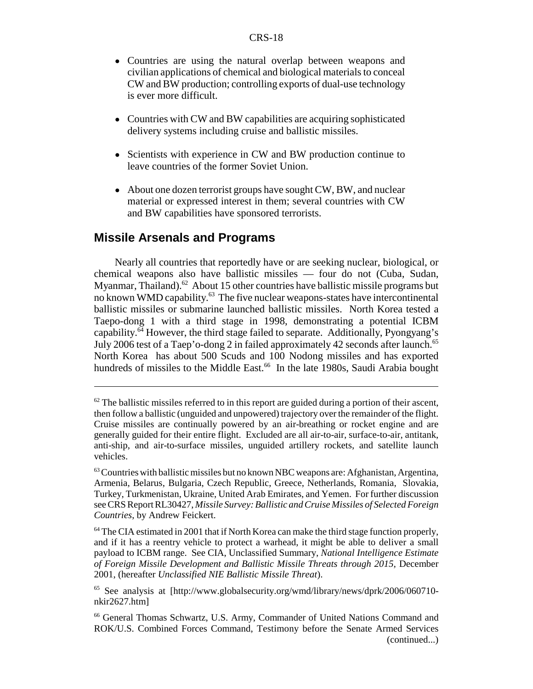- Countries are using the natural overlap between weapons and civilian applications of chemical and biological materials to conceal CW and BW production; controlling exports of dual-use technology is ever more difficult.
- Countries with CW and BW capabilities are acquiring sophisticated delivery systems including cruise and ballistic missiles.
- Scientists with experience in CW and BW production continue to leave countries of the former Soviet Union.
- About one dozen terrorist groups have sought CW, BW, and nuclear material or expressed interest in them; several countries with CW and BW capabilities have sponsored terrorists.

## **Missile Arsenals and Programs**

Nearly all countries that reportedly have or are seeking nuclear, biological, or chemical weapons also have ballistic missiles — four do not (Cuba, Sudan, Myanmar, Thailand).<sup>62</sup> About 15 other countries have ballistic missile programs but no known WMD capability.<sup>63</sup> The five nuclear weapons-states have intercontinental ballistic missiles or submarine launched ballistic missiles. North Korea tested a Taepo-dong 1 with a third stage in 1998, demonstrating a potential ICBM capability.64 However, the third stage failed to separate. Additionally, Pyongyang's July 2006 test of a Taep'o-dong 2 in failed approximately 42 seconds after launch.65 North Korea has about 500 Scuds and 100 Nodong missiles and has exported hundreds of missiles to the Middle East.<sup>66</sup> In the late 1980s, Saudi Arabia bought

 $62$  The ballistic missiles referred to in this report are guided during a portion of their ascent, then follow a ballistic (unguided and unpowered) trajectory over the remainder of the flight. Cruise missiles are continually powered by an air-breathing or rocket engine and are generally guided for their entire flight. Excluded are all air-to-air, surface-to-air, antitank, anti-ship, and air-to-surface missiles, unguided artillery rockets, and satellite launch vehicles.

<sup>&</sup>lt;sup>63</sup> Countries with ballistic missiles but no known NBC weapons are: Afghanistan, Argentina, Armenia, Belarus, Bulgaria, Czech Republic, Greece, Netherlands, Romania, Slovakia, Turkey, Turkmenistan, Ukraine, United Arab Emirates, and Yemen. For further discussion see CRS Report RL30427, *Missile Survey: Ballistic and Cruise Missiles of Selected Foreign Countries*, by Andrew Feickert.

<sup>&</sup>lt;sup>64</sup> The CIA estimated in 2001 that if North Korea can make the third stage function properly, and if it has a reentry vehicle to protect a warhead, it might be able to deliver a small payload to ICBM range. See CIA, Unclassified Summary, *National Intelligence Estimate of Foreign Missile Development and Ballistic Missile Threats through 2015,* December 2001, (hereafter *Unclassified NIE Ballistic Missile Threat*).

<sup>65</sup> See analysis at [http://www.globalsecurity.org/wmd/library/news/dprk/2006/060710 nkir2627.htm]

<sup>66</sup> General Thomas Schwartz, U.S. Army, Commander of United Nations Command and ROK/U.S. Combined Forces Command, Testimony before the Senate Armed Services (continued...)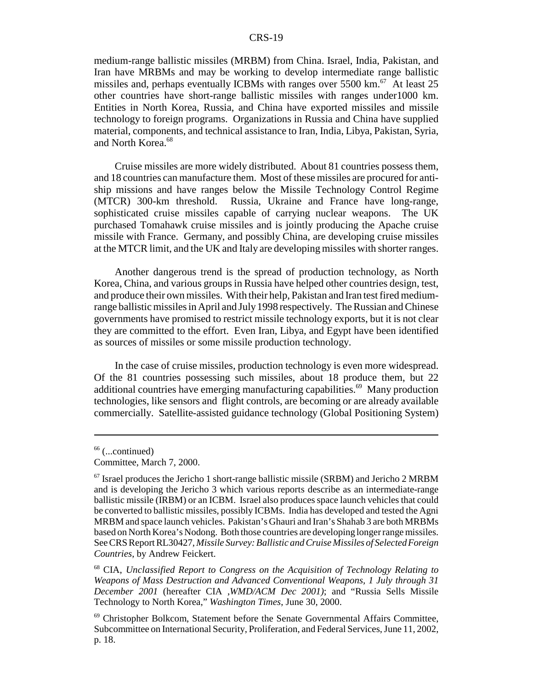medium-range ballistic missiles (MRBM) from China. Israel, India, Pakistan, and Iran have MRBMs and may be working to develop intermediate range ballistic missiles and, perhaps eventually ICBMs with ranges over  $5500 \text{ km}$ .<sup>67</sup> At least 25 other countries have short-range ballistic missiles with ranges under1000 km. Entities in North Korea, Russia, and China have exported missiles and missile technology to foreign programs. Organizations in Russia and China have supplied material, components, and technical assistance to Iran, India, Libya, Pakistan, Syria, and North Korea.<sup>68</sup>

Cruise missiles are more widely distributed. About 81 countries possess them, and 18 countries can manufacture them. Most of these missiles are procured for antiship missions and have ranges below the Missile Technology Control Regime (MTCR) 300-km threshold. Russia, Ukraine and France have long-range, sophisticated cruise missiles capable of carrying nuclear weapons. The UK purchased Tomahawk cruise missiles and is jointly producing the Apache cruise missile with France. Germany, and possibly China, are developing cruise missiles at the MTCR limit, and the UK and Italy are developing missiles with shorter ranges.

Another dangerous trend is the spread of production technology, as North Korea, China, and various groups in Russia have helped other countries design, test, and produce their own missiles. With their help, Pakistan and Iran test fired mediumrange ballistic missiles in April and July 1998 respectively. The Russian and Chinese governments have promised to restrict missile technology exports, but it is not clear they are committed to the effort. Even Iran, Libya, and Egypt have been identified as sources of missiles or some missile production technology.

In the case of cruise missiles, production technology is even more widespread. Of the 81 countries possessing such missiles, about 18 produce them, but 22 additional countries have emerging manufacturing capabilities.<sup>69</sup> Many production technologies, like sensors and flight controls, are becoming or are already available commercially. Satellite-assisted guidance technology (Global Positioning System)

 $66$  (...continued)

Committee, March 7, 2000.

 $67$  Israel produces the Jericho 1 short-range ballistic missile (SRBM) and Jericho 2 MRBM and is developing the Jericho 3 which various reports describe as an intermediate-range ballistic missile (IRBM) or an ICBM. Israel also produces space launch vehicles that could be converted to ballistic missiles, possibly ICBMs. India has developed and tested the Agni MRBM and space launch vehicles. Pakistan's Ghauri and Iran's Shahab 3 are both MRBMs based on North Korea's Nodong. Both those countries are developing longer range missiles. See CRS Report RL30427, *Missile Survey: Ballistic and Cruise Missiles of Selected Foreign Countries*, by Andrew Feickert.

<sup>68</sup> CIA, *Unclassified Report to Congress on the Acquisition of Technology Relating to Weapons of Mass Destruction and Advanced Conventional Weapons, 1 July through 31 December 2001* (hereafter CIA ,*WMD/ACM Dec 2001)*; and "Russia Sells Missile Technology to North Korea," *Washington Times*, June 30, 2000.

<sup>69</sup> Christopher Bolkcom, Statement before the Senate Governmental Affairs Committee, Subcommittee on International Security, Proliferation, and Federal Services, June 11, 2002, p. 18.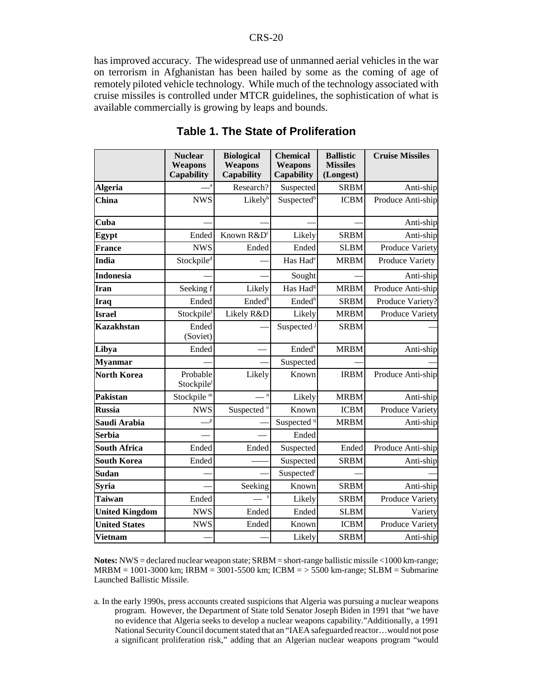has improved accuracy. The widespread use of unmanned aerial vehicles in the war on terrorism in Afghanistan has been hailed by some as the coming of age of remotely piloted vehicle technology. While much of the technology associated with cruise missiles is controlled under MTCR guidelines, the sophistication of what is available commercially is growing by leaps and bounds.

|                       | <b>Nuclear</b><br>Weapons | <b>Biological</b><br>Weapons | <b>Chemical</b><br>Weapons | <b>Ballistic</b><br><b>Missiles</b> | <b>Cruise Missiles</b> |
|-----------------------|---------------------------|------------------------------|----------------------------|-------------------------------------|------------------------|
|                       | Capability                | <b>Capability</b>            | Capability                 | (Longest)                           |                        |
| <b>Algeria</b>        |                           | Research?                    | Suspected                  | <b>SRBM</b>                         | Anti-ship              |
| <b>China</b>          | <b>NWS</b>                | Likelyb                      | Suspected <sup>b</sup>     | <b>ICBM</b>                         | Produce Anti-ship      |
| Cuba                  |                           |                              |                            |                                     | Anti-ship              |
| Egypt                 | Ended                     | Known R&D <sup>c</sup>       | Likely                     | <b>SRBM</b>                         | Anti-ship              |
| <b>France</b>         | <b>NWS</b>                | Ended                        | Ended                      | <b>SLBM</b>                         | Produce Variety        |
| India                 | Stockpile <sup>d</sup>    |                              | Has Had <sup>e</sup>       | <b>MRBM</b>                         | Produce Variety        |
| <b>Indonesia</b>      |                           |                              | Sought                     |                                     | Anti-ship              |
| Iran                  | Seeking f                 | Likely                       | Has Had <sup>g</sup>       | <b>MRBM</b>                         | Produce Anti-ship      |
| <b>Iraq</b>           | Ended                     | Ended <sup>h</sup>           | Ended <sup>h</sup>         | <b>SRBM</b>                         | Produce Variety?       |
| <b>Israel</b>         | Stockpile <sup>I</sup>    | Likely R&D                   | Likely                     | <b>MRBM</b>                         | Produce Variety        |
| <b>Kazakhstan</b>     | Ended<br>(Soviet)         |                              | Suspected <sup>3</sup>     | <b>SRBM</b>                         |                        |
| Libya                 | Ended                     |                              | Ended <sup>k</sup>         | <b>MRBM</b>                         | Anti-ship              |
| <b>Myanmar</b>        |                           |                              | Suspected                  |                                     |                        |
| <b>North Korea</b>    | Probable<br>Stockpile     | Likely                       | Known                      | <b>IRBM</b>                         | Produce Anti-ship      |
| Pakistan              | Stockpile <sup>m</sup>    | $\mathbf n$                  | Likely                     | <b>MRBM</b>                         | Anti-ship              |
| <b>Russia</b>         | <b>NWS</b>                | Suspected <sup>o</sup>       | Known                      | <b>ICBM</b>                         | Produce Variety        |
| Saudi Arabia          | $\mathbb{P}$              |                              | Suspected <sup>q</sup>     | <b>MRBM</b>                         | Anti-ship              |
| <b>Serbia</b>         |                           |                              | Ended                      |                                     |                        |
| <b>South Africa</b>   | Ended                     | Ended                        | Suspected                  | Ended                               | Produce Anti-ship      |
| <b>South Korea</b>    | Ended                     |                              | Suspected                  | <b>SRBM</b>                         | Anti-ship              |
| Sudan                 |                           |                              | Suspected <sup>r</sup>     |                                     |                        |
| Syria                 |                           | Seeking                      | Known                      | <b>SRBM</b>                         | Anti-ship              |
| <b>Taiwan</b>         | Ended                     | $\mathbf{s}$                 | Likely                     | <b>SRBM</b>                         | Produce Variety        |
| <b>United Kingdom</b> | <b>NWS</b>                | Ended                        | Ended                      | <b>SLBM</b>                         | Variety                |
| <b>United States</b>  | <b>NWS</b>                | Ended                        | Known                      | <b>ICBM</b>                         | Produce Variety        |
| <b>Vietnam</b>        |                           |                              | Likely                     | <b>SRBM</b>                         | Anti-ship              |

**Table 1. The State of Proliferation**

**Notes:** NWS = declared nuclear weapon state; SRBM = short-range ballistic missile <1000 km-range;  $MRBM = 1001-3000$  km;  $IRBM = 3001-5500$  km;  $ICBM = > 5500$  km-range;  $SLBM =$  Submarine Launched Ballistic Missile.

a. In the early 1990s, press accounts created suspicions that Algeria was pursuing a nuclear weapons program. However, the Department of State told Senator Joseph Biden in 1991 that "we have no evidence that Algeria seeks to develop a nuclear weapons capability."Additionally, a 1991 National Security Council document stated that an "IAEA safeguarded reactor…would not pose a significant proliferation risk," adding that an Algerian nuclear weapons program "would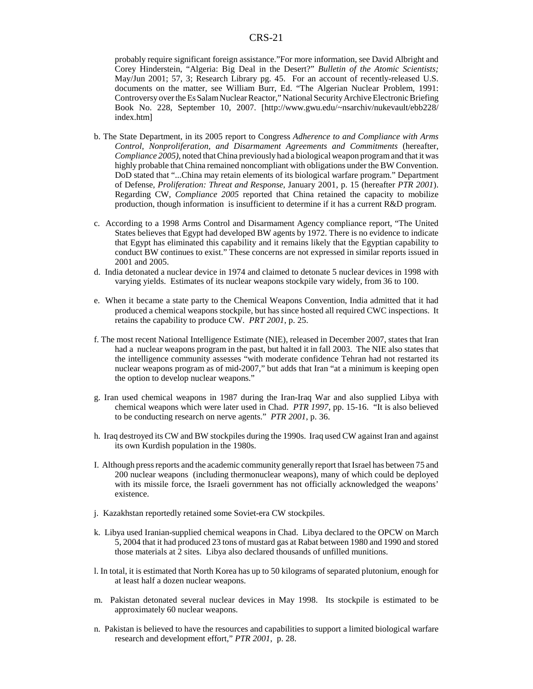probably require significant foreign assistance."For more information, see David Albright and Corey Hinderstein, "Algeria: Big Deal in the Desert?" *Bulletin of the Atomic Scientists;* May/Jun 2001; 57, 3; Research Library pg. 45. For an account of recently-released U.S. documents on the matter, see William Burr, Ed. "The Algerian Nuclear Problem, 1991: Controversy over the Es Salam Nuclear Reactor," National Security Archive Electronic Briefing Book No. 228, September 10, 2007. [http://www.gwu.edu/~nsarchiv/nukevault/ebb228/ index.htm]

- b. The State Department, in its 2005 report to Congress *Adherence to and Compliance with Arms Control, Nonproliferation, and Disarmament Agreements and Commitments* (hereafter, *Compliance 2005)*, noted that China previously had a biological weapon program and that it was highly probable that China remained noncompliant with obligations under the BW Convention. DoD stated that "...China may retain elements of its biological warfare program." Department of Defense*, Proliferation: Threat and Response*, January 2001, p. 15 (hereafter *PTR 2001*). Regarding CW, *Compliance 2005* reported that China retained the capacity to mobilize production, though information is insufficient to determine if it has a current R&D program.
- c. According to a 1998 Arms Control and Disarmament Agency compliance report, "The United States believes that Egypt had developed BW agents by 1972. There is no evidence to indicate that Egypt has eliminated this capability and it remains likely that the Egyptian capability to conduct BW continues to exist." These concerns are not expressed in similar reports issued in 2001 and 2005.
- d. India detonated a nuclear device in 1974 and claimed to detonate 5 nuclear devices in 1998 with varying yields. Estimates of its nuclear weapons stockpile vary widely, from 36 to 100.
- e. When it became a state party to the Chemical Weapons Convention, India admitted that it had produced a chemical weapons stockpile, but has since hosted all required CWC inspections. It retains the capability to produce CW. *PRT 2001*, p. 25.
- f. The most recent National Intelligence Estimate (NIE), released in December 2007, states that Iran had a nuclear weapons program in the past, but halted it in fall 2003. The NIE also states that the intelligence community assesses "with moderate confidence Tehran had not restarted its nuclear weapons program as of mid-2007," but adds that Iran "at a minimum is keeping open the option to develop nuclear weapons."
- g. Iran used chemical weapons in 1987 during the Iran-Iraq War and also supplied Libya with chemical weapons which were later used in Chad. *PTR 1997*, pp. 15-16. "It is also believed to be conducting research on nerve agents." *PTR 2001*, p. 36.
- h. Iraq destroyed its CW and BW stockpiles during the 1990s. Iraq used CW against Iran and against its own Kurdish population in the 1980s.
- I. Although press reports and the academic community generally report that Israel has between 75 and 200 nuclear weapons (including thermonuclear weapons), many of which could be deployed with its missile force, the Israeli government has not officially acknowledged the weapons' existence.
- j. Kazakhstan reportedly retained some Soviet-era CW stockpiles.
- k. Libya used Iranian-supplied chemical weapons in Chad. Libya declared to the OPCW on March 5, 2004 that it had produced 23 tons of mustard gas at Rabat between 1980 and 1990 and stored those materials at 2 sites. Libya also declared thousands of unfilled munitions.
- l. In total, it is estimated that North Korea has up to 50 kilograms of separated plutonium, enough for at least half a dozen nuclear weapons.
- m. Pakistan detonated several nuclear devices in May 1998. Its stockpile is estimated to be approximately 60 nuclear weapons.
- n. Pakistan is believed to have the resources and capabilities to support a limited biological warfare research and development effort," *PTR 2001*, p. 28.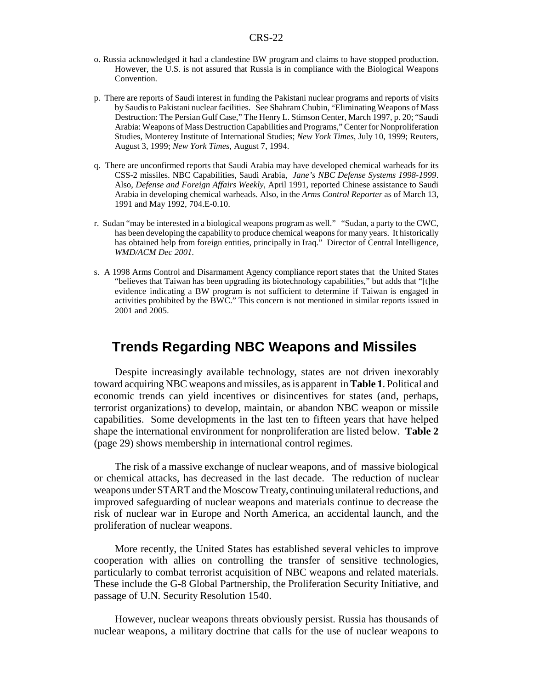- o. Russia acknowledged it had a clandestine BW program and claims to have stopped production. However, the U.S. is not assured that Russia is in compliance with the Biological Weapons Convention.
- p. There are reports of Saudi interest in funding the Pakistani nuclear programs and reports of visits by Saudis to Pakistani nuclear facilities. See Shahram Chubin, "Eliminating Weapons of Mass Destruction: The Persian Gulf Case," The Henry L. Stimson Center, March 1997, p. 20; "Saudi Arabia: Weapons of Mass Destruction Capabilities and Programs," Center for Nonproliferation Studies, Monterey Institute of International Studies; *New York Times*, July 10, 1999; Reuters, August 3, 1999; *New York Times*, August 7, 1994.
- q. There are unconfirmed reports that Saudi Arabia may have developed chemical warheads for its CSS-2 missiles. NBC Capabilities, Saudi Arabia, *Jane's NBC Defense Systems 1998-1999*. Also, *Defense and Foreign Affairs Weekly*, April 1991, reported Chinese assistance to Saudi Arabia in developing chemical warheads. Also, in the *Arms Control Reporter* as of March 13, 1991 and May 1992, 704.E-0.10.
- r. Sudan "may be interested in a biological weapons program as well." "Sudan, a party to the CWC, has been developing the capability to produce chemical weapons for many years. It historically has obtained help from foreign entities, principally in Iraq." Director of Central Intelligence, *WMD/ACM Dec 2001.*
- s. A 1998 Arms Control and Disarmament Agency compliance report states that the United States "believes that Taiwan has been upgrading its biotechnology capabilities," but adds that "[t]he evidence indicating a BW program is not sufficient to determine if Taiwan is engaged in activities prohibited by the BWC." This concern is not mentioned in similar reports issued in 2001 and 2005.

# **Trends Regarding NBC Weapons and Missiles**

Despite increasingly available technology, states are not driven inexorably toward acquiring NBC weapons and missiles, as is apparent in **Table 1**. Political and economic trends can yield incentives or disincentives for states (and, perhaps, terrorist organizations) to develop, maintain, or abandon NBC weapon or missile capabilities. Some developments in the last ten to fifteen years that have helped shape the international environment for nonproliferation are listed below. **Table 2** (page 29) shows membership in international control regimes.

The risk of a massive exchange of nuclear weapons, and of massive biological or chemical attacks, has decreased in the last decade. The reduction of nuclear weapons under START and the Moscow Treaty, continuing unilateral reductions, and improved safeguarding of nuclear weapons and materials continue to decrease the risk of nuclear war in Europe and North America, an accidental launch, and the proliferation of nuclear weapons.

More recently, the United States has established several vehicles to improve cooperation with allies on controlling the transfer of sensitive technologies, particularly to combat terrorist acquisition of NBC weapons and related materials. These include the G-8 Global Partnership, the Proliferation Security Initiative, and passage of U.N. Security Resolution 1540.

However, nuclear weapons threats obviously persist. Russia has thousands of nuclear weapons, a military doctrine that calls for the use of nuclear weapons to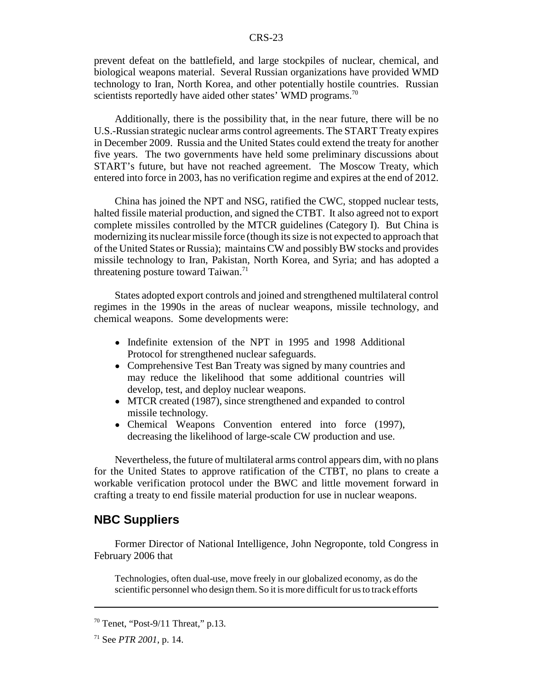prevent defeat on the battlefield, and large stockpiles of nuclear, chemical, and biological weapons material. Several Russian organizations have provided WMD technology to Iran, North Korea, and other potentially hostile countries. Russian scientists reportedly have aided other states' WMD programs.<sup>70</sup>

Additionally, there is the possibility that, in the near future, there will be no U.S.-Russian strategic nuclear arms control agreements. The START Treaty expires in December 2009. Russia and the United States could extend the treaty for another five years. The two governments have held some preliminary discussions about START's future, but have not reached agreement. The Moscow Treaty, which entered into force in 2003, has no verification regime and expires at the end of 2012.

China has joined the NPT and NSG, ratified the CWC, stopped nuclear tests, halted fissile material production, and signed the CTBT. It also agreed not to export complete missiles controlled by the MTCR guidelines (Category I). But China is modernizing its nuclear missile force (though its size is not expected to approach that of the United States or Russia); maintains CW and possibly BW stocks and provides missile technology to Iran, Pakistan, North Korea, and Syria; and has adopted a threatening posture toward Taiwan.<sup>71</sup>

States adopted export controls and joined and strengthened multilateral control regimes in the 1990s in the areas of nuclear weapons, missile technology, and chemical weapons. Some developments were:

- Indefinite extension of the NPT in 1995 and 1998 Additional Protocol for strengthened nuclear safeguards.
- Comprehensive Test Ban Treaty was signed by many countries and may reduce the likelihood that some additional countries will develop, test, and deploy nuclear weapons.
- MTCR created (1987), since strengthened and expanded to control missile technology.
- Chemical Weapons Convention entered into force (1997), decreasing the likelihood of large-scale CW production and use.

Nevertheless, the future of multilateral arms control appears dim, with no plans for the United States to approve ratification of the CTBT, no plans to create a workable verification protocol under the BWC and little movement forward in crafting a treaty to end fissile material production for use in nuclear weapons.

#### **NBC Suppliers**

Former Director of National Intelligence, John Negroponte, told Congress in February 2006 that

Technologies, often dual-use, move freely in our globalized economy, as do the scientific personnel who design them. So it is more difficult for us to track efforts

 $70$  Tenet, "Post-9/11 Threat," p.13.

<sup>71</sup> See *PTR 2001*, p. 14.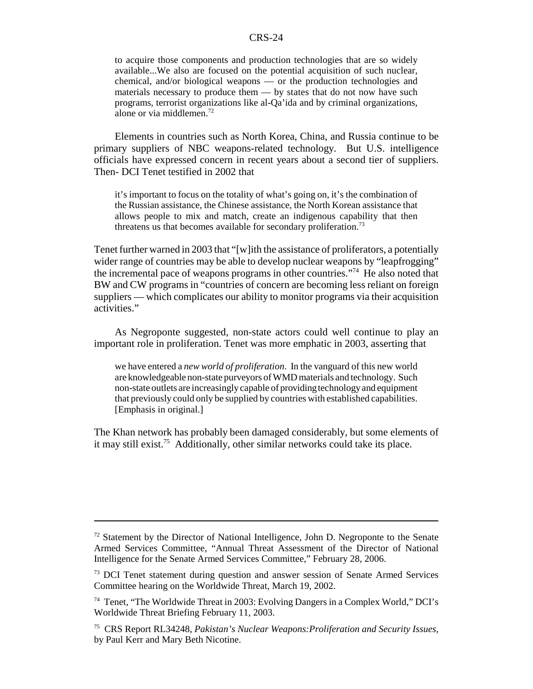to acquire those components and production technologies that are so widely available...We also are focused on the potential acquisition of such nuclear, chemical, and/or biological weapons — or the production technologies and materials necessary to produce them — by states that do not now have such programs, terrorist organizations like al-Qa'ida and by criminal organizations, alone or via middlemen.72

Elements in countries such as North Korea, China, and Russia continue to be primary suppliers of NBC weapons-related technology. But U.S. intelligence officials have expressed concern in recent years about a second tier of suppliers. Then- DCI Tenet testified in 2002 that

it's important to focus on the totality of what's going on, it's the combination of the Russian assistance, the Chinese assistance, the North Korean assistance that allows people to mix and match, create an indigenous capability that then threatens us that becomes available for secondary proliferation.<sup>73</sup>

Tenet further warned in 2003 that "[w]ith the assistance of proliferators, a potentially wider range of countries may be able to develop nuclear weapons by "leapfrogging" the incremental pace of weapons programs in other countries."74 He also noted that BW and CW programs in "countries of concern are becoming less reliant on foreign suppliers — which complicates our ability to monitor programs via their acquisition activities."

As Negroponte suggested, non-state actors could well continue to play an important role in proliferation. Tenet was more emphatic in 2003, asserting that

we have entered a *new world of proliferation*. In the vanguard of this new world are knowledgeable non-state purveyors of WMD materials and technology. Such non-state outlets are increasingly capable of providing technology and equipment that previously could only be supplied by countries with established capabilities. [Emphasis in original.]

The Khan network has probably been damaged considerably, but some elements of it may still exist.<sup>75</sup> Additionally, other similar networks could take its place.

 $72$  Statement by the Director of National Intelligence, John D. Negroponte to the Senate Armed Services Committee, "Annual Threat Assessment of the Director of National Intelligence for the Senate Armed Services Committee," February 28, 2006.

<sup>&</sup>lt;sup>73</sup> DCI Tenet statement during question and answer session of Senate Armed Services Committee hearing on the Worldwide Threat, March 19, 2002.

<sup>74</sup> Tenet, "The Worldwide Threat in 2003: Evolving Dangers in a Complex World," DCI's Worldwide Threat Briefing February 11, 2003.

<sup>75</sup> CRS Report RL34248, *Pakistan's Nuclear Weapons:Proliferation and Security Issues*, by Paul Kerr and Mary Beth Nicotine.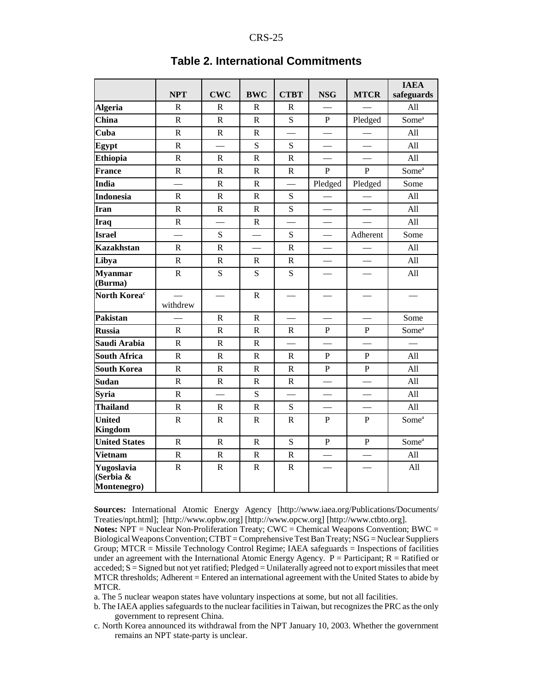|                                        | <b>NPT</b>               | <b>CWC</b>               | <b>BWC</b>  | <b>CTBT</b>              | <b>NSG</b>               | <b>MTCR</b>              | <b>IAEA</b><br>safeguards |
|----------------------------------------|--------------------------|--------------------------|-------------|--------------------------|--------------------------|--------------------------|---------------------------|
| <b>Algeria</b>                         | $\mathbf R$              | $\mathbb{R}$             | $\mathbf R$ | $\mathbf R$              |                          |                          | All                       |
| <b>China</b>                           | ${\bf R}$                | $\mathbf R$              | $\mathbf R$ | S                        | P                        | Pledged                  | Some <sup>a</sup>         |
| Cuba                                   | ${\bf R}$                | $\mathbf R$              | $\mathbf R$ |                          |                          |                          | All                       |
| Egypt                                  | $\overline{\text{R}}$    | $\overline{\phantom{0}}$ | S           | S                        | $\qquad \qquad$          | $\qquad \qquad$          | All                       |
| <b>Ethiopia</b>                        | $\overline{\text{R}}$    | ${\bf R}$                | $\mathbf R$ | $\mathbf R$              | $\equiv$                 | $\equiv$                 | All                       |
| <b>France</b>                          | ${\bf R}$                | ${\bf R}$                | $\mathbf R$ | ${\bf R}$                | $\mathbf{P}$             | $\mathbf{P}$             | Some <sup>a</sup>         |
| <b>India</b>                           | $\overline{\phantom{0}}$ | $\mathbf R$              | ${\bf R}$   | $\overline{\phantom{0}}$ | Pledged                  | Pledged                  | Some                      |
| <b>Indonesia</b>                       | $\mathbf R$              | $\mathbf R$              | $\mathbf R$ | S                        |                          |                          | All                       |
| Iran                                   | $\mathbf R$              | ${\bf R}$                | $\mathbf R$ | S                        |                          |                          | All                       |
| Iraq                                   | $\mathbf R$              | $\overline{\phantom{0}}$ | $\mathbf R$ | $\overline{\phantom{0}}$ |                          | $\overline{\phantom{0}}$ | All                       |
| <b>Israel</b>                          | $\equiv$                 | S                        |             | S                        | $\overline{\phantom{0}}$ | Adherent                 | Some                      |
| <b>Kazakhstan</b>                      | ${\bf R}$                | $\mathbf R$              |             | $\mathbf R$              |                          |                          | All                       |
| Libya                                  | $\mathbf R$              | $\mathbf R$              | $\mathbf R$ | $\mathbf R$              |                          |                          | All                       |
| <b>Myanmar</b><br>(Burma)              | $\mathbf R$              | S                        | S           | S                        |                          |                          | All                       |
| North Korea <sup>c</sup>               | withdrew                 | $\overline{\phantom{0}}$ | $\mathbf R$ |                          |                          |                          |                           |
| Pakistan                               |                          | ${\bf R}$                | $\mathbf R$ |                          |                          |                          | Some                      |
| <b>Russia</b>                          | $\mathbf R$              | $\mathbf R$              | $\mathbf R$ | $\mathbf R$              | P                        | ${\bf P}$                | Some <sup>a</sup>         |
| Saudi Arabia                           | ${\bf R}$                | ${\bf R}$                | $\mathbf R$ | $\overline{\phantom{0}}$ | $\overline{\phantom{0}}$ | $\equiv$                 | $\qquad \qquad$           |
| <b>South Africa</b>                    | $\mathbf R$              | $\mathbf R$              | ${\bf R}$   | $\mathbb{R}$             | $\, {\bf P}$             | $\, {\bf P}$             | All                       |
| <b>South Korea</b>                     | $\mathbf R$              | ${\bf R}$                | $\mathbf R$ | $\mathbf R$              | $\mathbf{P}$             | $\overline{P}$           | All                       |
| <b>Sudan</b>                           | $\, {\bf R}$             | $\, {\bf R}$             | $\mathbf R$ | $\mathbf R$              |                          |                          | All                       |
| <b>Syria</b>                           | $\mathbf R$              | $\overline{\phantom{0}}$ | S           | $\overline{\phantom{0}}$ |                          | $\overline{\phantom{0}}$ | All                       |
| <b>Thailand</b>                        | $\mathbf R$              | $\mathbf R$              | $\mathbf R$ | S                        |                          |                          | All                       |
| <b>United</b><br>Kingdom               | $\mathbf R$              | $\mathbf R$              | $\mathbf R$ | $\mathbf R$              | P                        | $\, {\bf P}$             | Some <sup>a</sup>         |
| <b>United States</b>                   | $\mathbf R$              | ${\bf R}$                | $\mathbf R$ | S                        | $\mathbf{P}$             | $\mathbf{P}$             | Some <sup>a</sup>         |
| <b>Vietnam</b>                         | $\mathbf R$              | ${\bf R}$                | $\mathbf R$ | $\mathbf R$              | $\overline{\phantom{0}}$ | $\overline{\phantom{0}}$ | All                       |
| Yugoslavia<br>(Serbia &<br>Montenegro) | ${\bf R}$                | ${\bf R}$                | $\mathbf R$ | ${\bf R}$                | $\overline{\phantom{0}}$ | $\overline{\phantom{0}}$ | All                       |

#### **Table 2. International Commitments**

**Sources:** International Atomic Energy Agency [http://www.iaea.org/Publications/Documents/ Treaties/npt.html]; [http://www.opbw.org] [http://www.opcw.org] [http://www.ctbto.org].

**Notes:** NPT = Nuclear Non-Proliferation Treaty; CWC = Chemical Weapons Convention; BWC = Biological Weapons Convention; CTBT = Comprehensive Test Ban Treaty; NSG = Nuclear Suppliers Group; MTCR = Missile Technology Control Regime; IAEA safeguards = Inspections of facilities under an agreement with the International Atomic Energy Agency.  $P =$  Participant;  $R =$  Ratified or acceded; S = Signed but not yet ratified; Pledged = Unilaterally agreed not to export missiles that meet MTCR thresholds; Adherent = Entered an international agreement with the United States to abide by MTCR.

a. The 5 nuclear weapon states have voluntary inspections at some, but not all facilities.

b. The IAEA applies safeguards to the nuclear facilities in Taiwan, but recognizes the PRC as the only government to represent China.

c. North Korea announced its withdrawal from the NPT January 10, 2003. Whether the government remains an NPT state-party is unclear.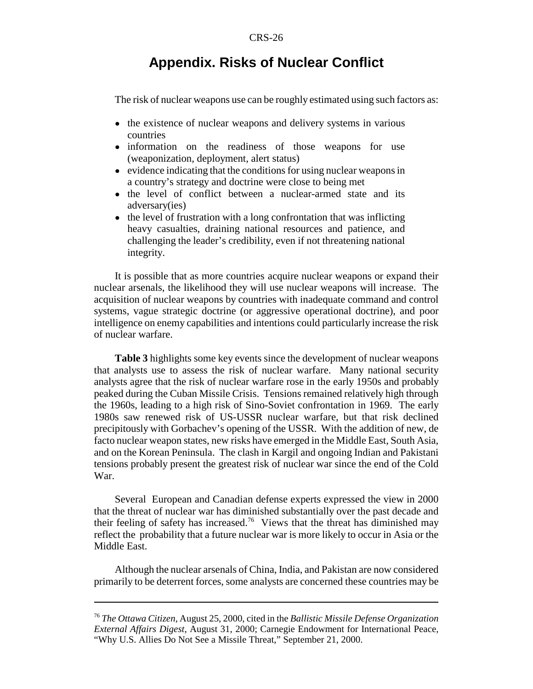# **Appendix. Risks of Nuclear Conflict**

The risk of nuclear weapons use can be roughly estimated using such factors as:

- the existence of nuclear weapons and delivery systems in various countries
- information on the readiness of those weapons for use (weaponization, deployment, alert status)
- evidence indicating that the conditions for using nuclear weapons in a country's strategy and doctrine were close to being met
- the level of conflict between a nuclear-armed state and its adversary(ies)
- the level of frustration with a long confrontation that was inflicting heavy casualties, draining national resources and patience, and challenging the leader's credibility, even if not threatening national integrity.

It is possible that as more countries acquire nuclear weapons or expand their nuclear arsenals, the likelihood they will use nuclear weapons will increase. The acquisition of nuclear weapons by countries with inadequate command and control systems, vague strategic doctrine (or aggressive operational doctrine), and poor intelligence on enemy capabilities and intentions could particularly increase the risk of nuclear warfare.

**Table 3** highlights some key events since the development of nuclear weapons that analysts use to assess the risk of nuclear warfare. Many national security analysts agree that the risk of nuclear warfare rose in the early 1950s and probably peaked during the Cuban Missile Crisis. Tensions remained relatively high through the 1960s, leading to a high risk of Sino-Soviet confrontation in 1969. The early 1980s saw renewed risk of US-USSR nuclear warfare, but that risk declined precipitously with Gorbachev's opening of the USSR. With the addition of new, de facto nuclear weapon states, new risks have emerged in the Middle East, South Asia, and on the Korean Peninsula. The clash in Kargil and ongoing Indian and Pakistani tensions probably present the greatest risk of nuclear war since the end of the Cold War.

Several European and Canadian defense experts expressed the view in 2000 that the threat of nuclear war has diminished substantially over the past decade and their feeling of safety has increased.<sup>76</sup> Views that the threat has diminished may reflect the probability that a future nuclear war is more likely to occur in Asia or the Middle East.

Although the nuclear arsenals of China, India, and Pakistan are now considered primarily to be deterrent forces, some analysts are concerned these countries may be

<sup>76</sup> *The Ottawa Citizen*, August 25, 2000, cited in the *Ballistic Missile Defense Organization External Affairs Digest*, August 31, 2000; Carnegie Endowment for International Peace, "Why U.S. Allies Do Not See a Missile Threat," September 21, 2000.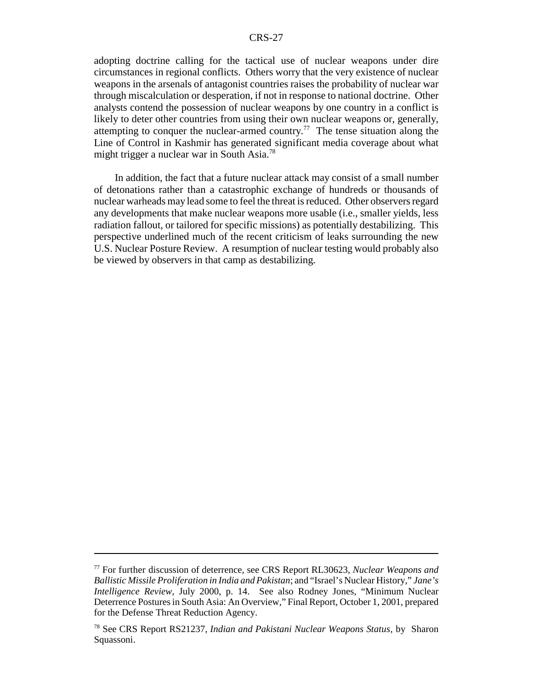adopting doctrine calling for the tactical use of nuclear weapons under dire circumstances in regional conflicts. Others worry that the very existence of nuclear weapons in the arsenals of antagonist countries raises the probability of nuclear war through miscalculation or desperation, if not in response to national doctrine. Other analysts contend the possession of nuclear weapons by one country in a conflict is likely to deter other countries from using their own nuclear weapons or, generally, attempting to conquer the nuclear-armed country.<sup>77</sup> The tense situation along the Line of Control in Kashmir has generated significant media coverage about what might trigger a nuclear war in South Asia.78

In addition, the fact that a future nuclear attack may consist of a small number of detonations rather than a catastrophic exchange of hundreds or thousands of nuclear warheads may lead some to feel the threat is reduced. Other observers regard any developments that make nuclear weapons more usable (i.e., smaller yields, less radiation fallout, or tailored for specific missions) as potentially destabilizing. This perspective underlined much of the recent criticism of leaks surrounding the new U.S. Nuclear Posture Review. A resumption of nuclear testing would probably also be viewed by observers in that camp as destabilizing.

<sup>77</sup> For further discussion of deterrence, see CRS Report RL30623, *Nuclear Weapons and Ballistic Missile Proliferation in India and Pakistan*; and "Israel's Nuclear History," *Jane's Intelligence Review,* July 2000, p. 14. See also Rodney Jones, "Minimum Nuclear Deterrence Postures in South Asia: An Overview," Final Report, October 1, 2001, prepared for the Defense Threat Reduction Agency.

<sup>78</sup> See CRS Report RS21237, *Indian and Pakistani Nuclear Weapons Status*, by Sharon Squassoni.